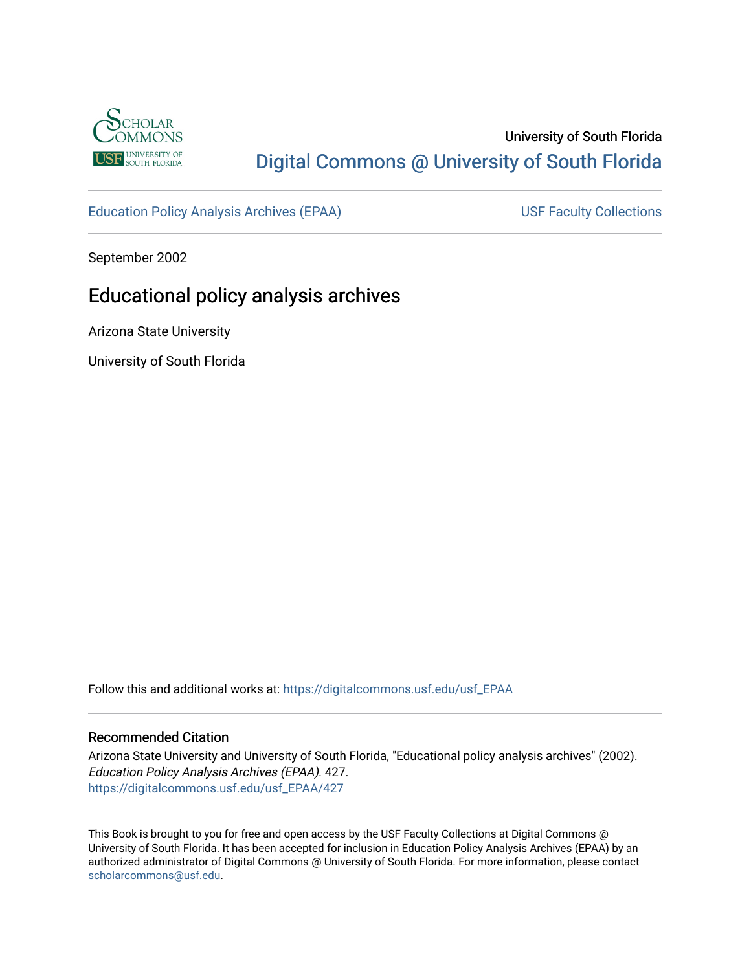

# University of South Florida [Digital Commons @ University of South Florida](https://digitalcommons.usf.edu/)

[Education Policy Analysis Archives \(EPAA\)](https://digitalcommons.usf.edu/usf_EPAA) USF Faculty Collections

September 2002

# Educational policy analysis archives

Arizona State University

University of South Florida

Follow this and additional works at: [https://digitalcommons.usf.edu/usf\\_EPAA](https://digitalcommons.usf.edu/usf_EPAA?utm_source=digitalcommons.usf.edu%2Fusf_EPAA%2F427&utm_medium=PDF&utm_campaign=PDFCoverPages)

#### Recommended Citation

Arizona State University and University of South Florida, "Educational policy analysis archives" (2002). Education Policy Analysis Archives (EPAA). 427. [https://digitalcommons.usf.edu/usf\\_EPAA/427](https://digitalcommons.usf.edu/usf_EPAA/427?utm_source=digitalcommons.usf.edu%2Fusf_EPAA%2F427&utm_medium=PDF&utm_campaign=PDFCoverPages)

This Book is brought to you for free and open access by the USF Faculty Collections at Digital Commons @ University of South Florida. It has been accepted for inclusion in Education Policy Analysis Archives (EPAA) by an authorized administrator of Digital Commons @ University of South Florida. For more information, please contact [scholarcommons@usf.edu.](mailto:scholarcommons@usf.edu)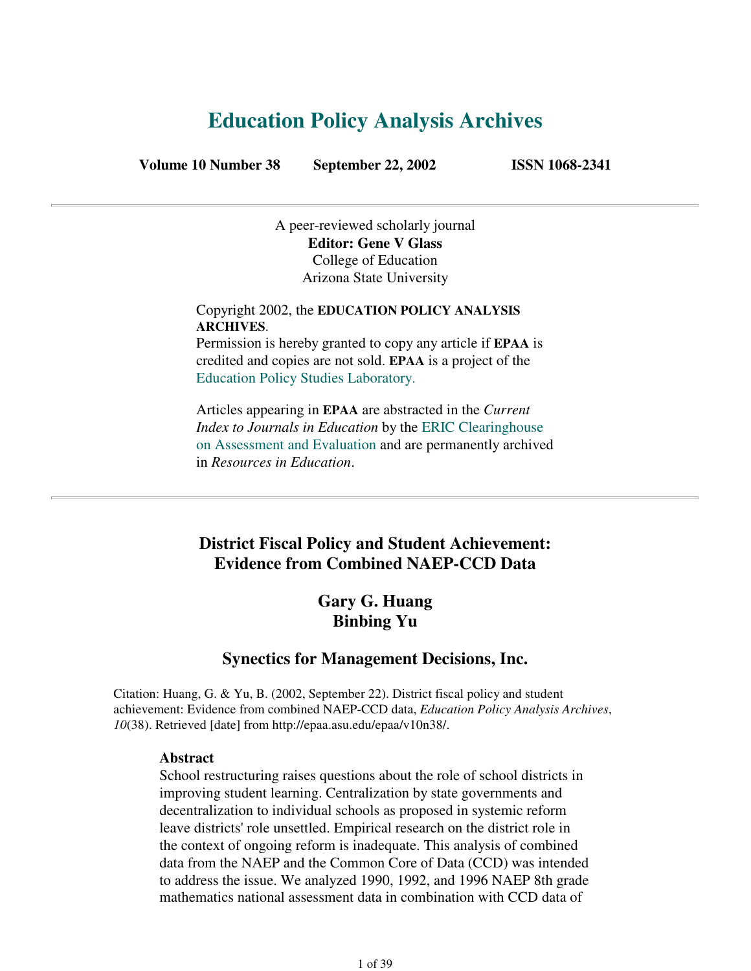# **Education Policy Analysis Archives**

**Volume 10 Number 38 September 22, 2002 ISSN 1068-2341**

A peer-reviewed scholarly journal **Editor: Gene V Glass** College of Education Arizona State University

Copyright 2002, the **EDUCATION POLICY ANALYSIS ARCHIVES**.

Permission is hereby granted to copy any article if **EPAA** is credited and copies are not sold. **EPAA** is a project of the Education Policy Studies Laboratory.

Articles appearing in **EPAA** are abstracted in the *Current Index to Journals in Education* by the ERIC Clearinghouse on Assessment and Evaluation and are permanently archived in *Resources in Education*.

### **District Fiscal Policy and Student Achievement: Evidence from Combined NAEP-CCD Data**

### **Gary G. Huang Binbing Yu**

### **Synectics for Management Decisions, Inc.**

Citation: Huang, G. & Yu, B. (2002, September 22). District fiscal policy and student achievement: Evidence from combined NAEP-CCD data, *Education Policy Analysis Archives*, *10*(38). Retrieved [date] from http://epaa.asu.edu/epaa/v10n38/.

#### **Abstract**

School restructuring raises questions about the role of school districts in improving student learning. Centralization by state governments and decentralization to individual schools as proposed in systemic reform leave districts' role unsettled. Empirical research on the district role in the context of ongoing reform is inadequate. This analysis of combined data from the NAEP and the Common Core of Data (CCD) was intended to address the issue. We analyzed 1990, 1992, and 1996 NAEP 8th grade mathematics national assessment data in combination with CCD data of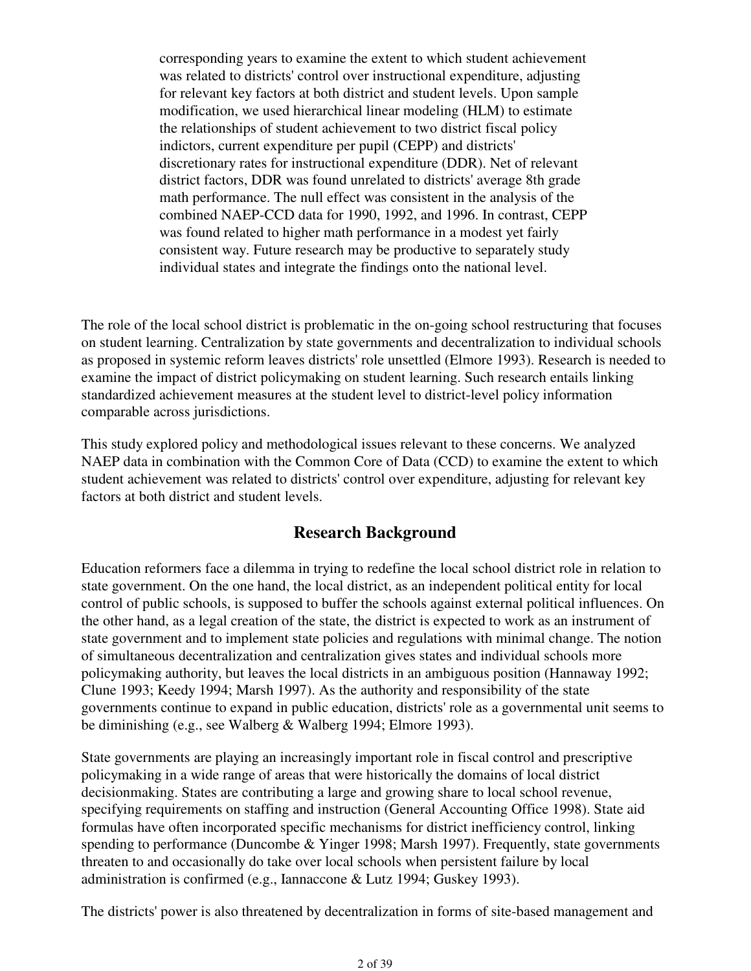corresponding years to examine the extent to which student achievement was related to districts' control over instructional expenditure, adjusting for relevant key factors at both district and student levels. Upon sample modification, we used hierarchical linear modeling (HLM) to estimate the relationships of student achievement to two district fiscal policy indictors, current expenditure per pupil (CEPP) and districts' discretionary rates for instructional expenditure (DDR). Net of relevant district factors, DDR was found unrelated to districts' average 8th grade math performance. The null effect was consistent in the analysis of the combined NAEP-CCD data for 1990, 1992, and 1996. In contrast, CEPP was found related to higher math performance in a modest yet fairly consistent way. Future research may be productive to separately study individual states and integrate the findings onto the national level.

The role of the local school district is problematic in the on-going school restructuring that focuses on student learning. Centralization by state governments and decentralization to individual schools as proposed in systemic reform leaves districts' role unsettled (Elmore 1993). Research is needed to examine the impact of district policymaking on student learning. Such research entails linking standardized achievement measures at the student level to district-level policy information comparable across jurisdictions.

This study explored policy and methodological issues relevant to these concerns. We analyzed NAEP data in combination with the Common Core of Data (CCD) to examine the extent to which student achievement was related to districts' control over expenditure, adjusting for relevant key factors at both district and student levels.

### **Research Background**

Education reformers face a dilemma in trying to redefine the local school district role in relation to state government. On the one hand, the local district, as an independent political entity for local control of public schools, is supposed to buffer the schools against external political influences. On the other hand, as a legal creation of the state, the district is expected to work as an instrument of state government and to implement state policies and regulations with minimal change. The notion of simultaneous decentralization and centralization gives states and individual schools more policymaking authority, but leaves the local districts in an ambiguous position (Hannaway 1992; Clune 1993; Keedy 1994; Marsh 1997). As the authority and responsibility of the state governments continue to expand in public education, districts' role as a governmental unit seems to be diminishing (e.g., see Walberg & Walberg 1994; Elmore 1993).

State governments are playing an increasingly important role in fiscal control and prescriptive policymaking in a wide range of areas that were historically the domains of local district decisionmaking. States are contributing a large and growing share to local school revenue, specifying requirements on staffing and instruction (General Accounting Office 1998). State aid formulas have often incorporated specific mechanisms for district inefficiency control, linking spending to performance (Duncombe & Yinger 1998; Marsh 1997). Frequently, state governments threaten to and occasionally do take over local schools when persistent failure by local administration is confirmed (e.g., Iannaccone & Lutz 1994; Guskey 1993).

The districts' power is also threatened by decentralization in forms of site-based management and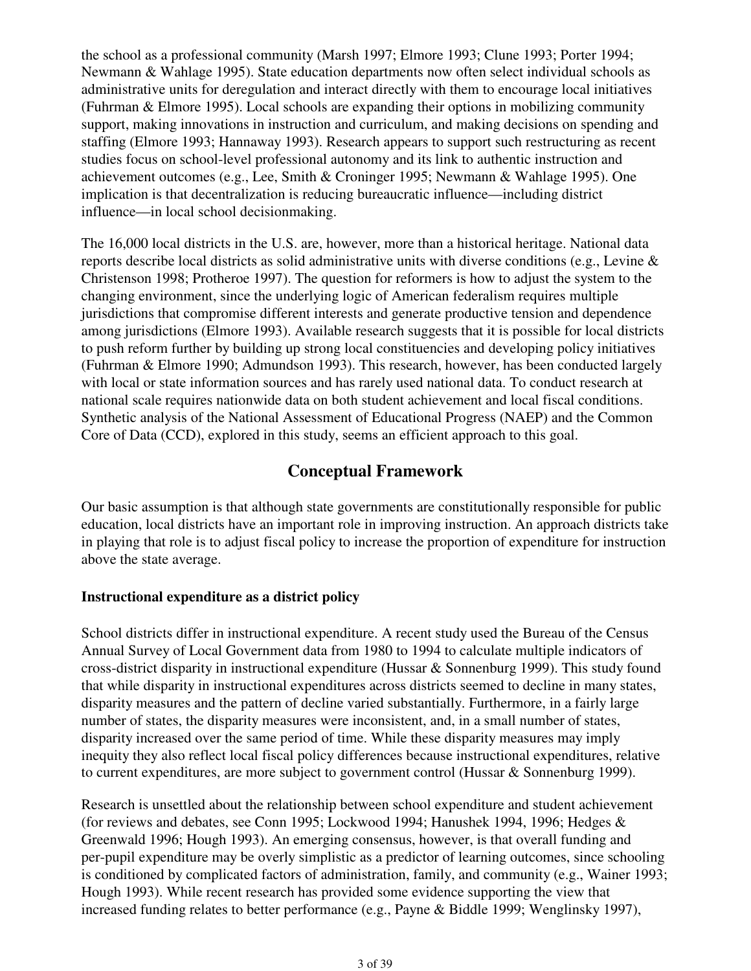the school as a professional community (Marsh 1997; Elmore 1993; Clune 1993; Porter 1994; Newmann & Wahlage 1995). State education departments now often select individual schools as administrative units for deregulation and interact directly with them to encourage local initiatives (Fuhrman & Elmore 1995). Local schools are expanding their options in mobilizing community support, making innovations in instruction and curriculum, and making decisions on spending and staffing (Elmore 1993; Hannaway 1993). Research appears to support such restructuring as recent studies focus on school-level professional autonomy and its link to authentic instruction and achievement outcomes (e.g., Lee, Smith & Croninger 1995; Newmann & Wahlage 1995). One implication is that decentralization is reducing bureaucratic influence—including district influence—in local school decisionmaking.

The 16,000 local districts in the U.S. are, however, more than a historical heritage. National data reports describe local districts as solid administrative units with diverse conditions (e.g., Levine & Christenson 1998; Protheroe 1997). The question for reformers is how to adjust the system to the changing environment, since the underlying logic of American federalism requires multiple jurisdictions that compromise different interests and generate productive tension and dependence among jurisdictions (Elmore 1993). Available research suggests that it is possible for local districts to push reform further by building up strong local constituencies and developing policy initiatives (Fuhrman & Elmore 1990; Admundson 1993). This research, however, has been conducted largely with local or state information sources and has rarely used national data. To conduct research at national scale requires nationwide data on both student achievement and local fiscal conditions. Synthetic analysis of the National Assessment of Educational Progress (NAEP) and the Common Core of Data (CCD), explored in this study, seems an efficient approach to this goal.

### **Conceptual Framework**

Our basic assumption is that although state governments are constitutionally responsible for public education, local districts have an important role in improving instruction. An approach districts take in playing that role is to adjust fiscal policy to increase the proportion of expenditure for instruction above the state average.

#### **Instructional expenditure as a district policy**

School districts differ in instructional expenditure. A recent study used the Bureau of the Census Annual Survey of Local Government data from 1980 to 1994 to calculate multiple indicators of cross-district disparity in instructional expenditure (Hussar & Sonnenburg 1999). This study found that while disparity in instructional expenditures across districts seemed to decline in many states, disparity measures and the pattern of decline varied substantially. Furthermore, in a fairly large number of states, the disparity measures were inconsistent, and, in a small number of states, disparity increased over the same period of time. While these disparity measures may imply inequity they also reflect local fiscal policy differences because instructional expenditures, relative to current expenditures, are more subject to government control (Hussar & Sonnenburg 1999).

Research is unsettled about the relationship between school expenditure and student achievement (for reviews and debates, see Conn 1995; Lockwood 1994; Hanushek 1994, 1996; Hedges & Greenwald 1996; Hough 1993). An emerging consensus, however, is that overall funding and per-pupil expenditure may be overly simplistic as a predictor of learning outcomes, since schooling is conditioned by complicated factors of administration, family, and community (e.g., Wainer 1993; Hough 1993). While recent research has provided some evidence supporting the view that increased funding relates to better performance (e.g., Payne & Biddle 1999; Wenglinsky 1997),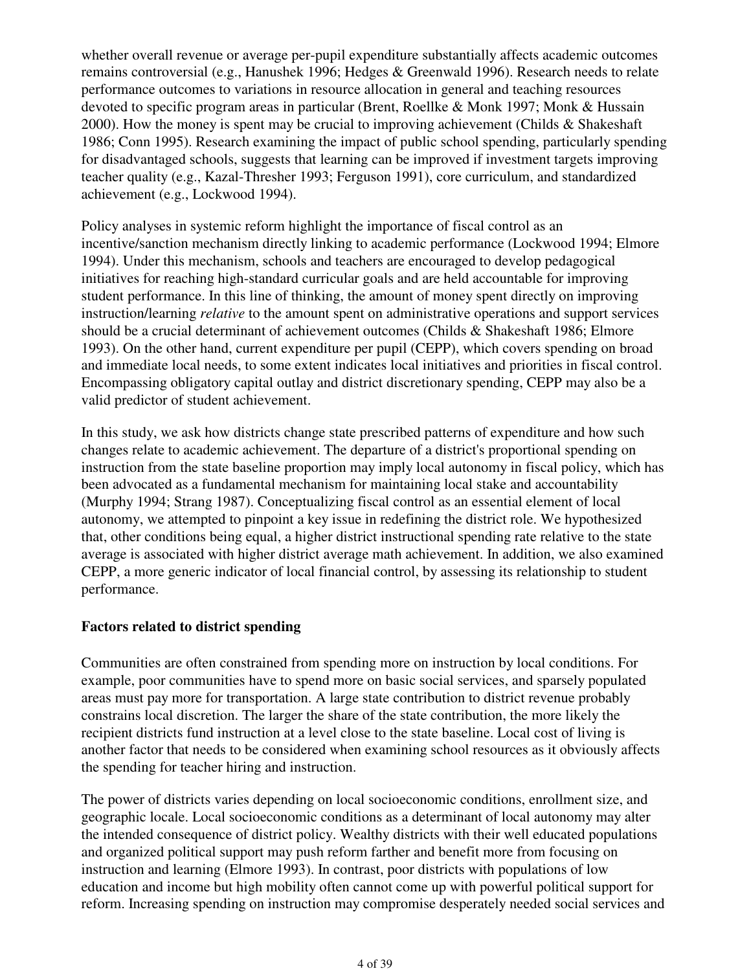whether overall revenue or average per-pupil expenditure substantially affects academic outcomes remains controversial (e.g., Hanushek 1996; Hedges & Greenwald 1996). Research needs to relate performance outcomes to variations in resource allocation in general and teaching resources devoted to specific program areas in particular (Brent, Roellke & Monk 1997; Monk & Hussain 2000). How the money is spent may be crucial to improving achievement (Childs  $&$  Shakeshaft 1986; Conn 1995). Research examining the impact of public school spending, particularly spending for disadvantaged schools, suggests that learning can be improved if investment targets improving teacher quality (e.g., Kazal-Thresher 1993; Ferguson 1991), core curriculum, and standardized achievement (e.g., Lockwood 1994).

Policy analyses in systemic reform highlight the importance of fiscal control as an incentive/sanction mechanism directly linking to academic performance (Lockwood 1994; Elmore 1994). Under this mechanism, schools and teachers are encouraged to develop pedagogical initiatives for reaching high-standard curricular goals and are held accountable for improving student performance. In this line of thinking, the amount of money spent directly on improving instruction/learning *relative* to the amount spent on administrative operations and support services should be a crucial determinant of achievement outcomes (Childs & Shakeshaft 1986; Elmore 1993). On the other hand, current expenditure per pupil (CEPP), which covers spending on broad and immediate local needs, to some extent indicates local initiatives and priorities in fiscal control. Encompassing obligatory capital outlay and district discretionary spending, CEPP may also be a valid predictor of student achievement.

In this study, we ask how districts change state prescribed patterns of expenditure and how such changes relate to academic achievement. The departure of a district's proportional spending on instruction from the state baseline proportion may imply local autonomy in fiscal policy, which has been advocated as a fundamental mechanism for maintaining local stake and accountability (Murphy 1994; Strang 1987). Conceptualizing fiscal control as an essential element of local autonomy, we attempted to pinpoint a key issue in redefining the district role. We hypothesized that, other conditions being equal, a higher district instructional spending rate relative to the state average is associated with higher district average math achievement. In addition, we also examined CEPP, a more generic indicator of local financial control, by assessing its relationship to student performance.

#### **Factors related to district spending**

Communities are often constrained from spending more on instruction by local conditions. For example, poor communities have to spend more on basic social services, and sparsely populated areas must pay more for transportation. A large state contribution to district revenue probably constrains local discretion. The larger the share of the state contribution, the more likely the recipient districts fund instruction at a level close to the state baseline. Local cost of living is another factor that needs to be considered when examining school resources as it obviously affects the spending for teacher hiring and instruction.

The power of districts varies depending on local socioeconomic conditions, enrollment size, and geographic locale. Local socioeconomic conditions as a determinant of local autonomy may alter the intended consequence of district policy. Wealthy districts with their well educated populations and organized political support may push reform farther and benefit more from focusing on instruction and learning (Elmore 1993). In contrast, poor districts with populations of low education and income but high mobility often cannot come up with powerful political support for reform. Increasing spending on instruction may compromise desperately needed social services and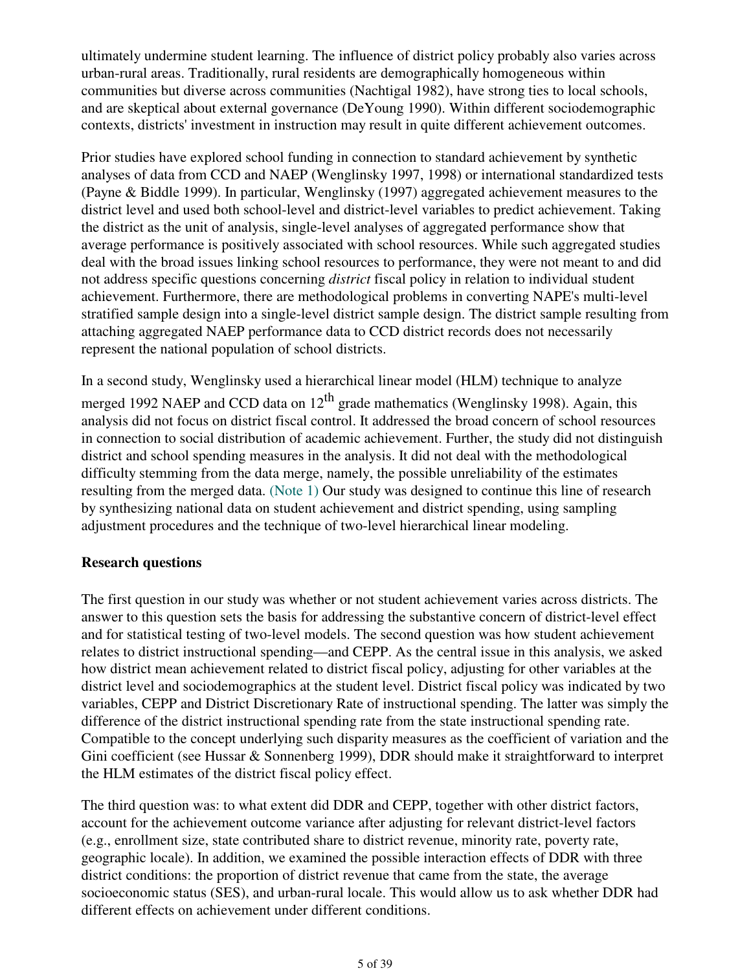ultimately undermine student learning. The influence of district policy probably also varies across urban-rural areas. Traditionally, rural residents are demographically homogeneous within communities but diverse across communities (Nachtigal 1982), have strong ties to local schools, and are skeptical about external governance (DeYoung 1990). Within different sociodemographic contexts, districts' investment in instruction may result in quite different achievement outcomes.

Prior studies have explored school funding in connection to standard achievement by synthetic analyses of data from CCD and NAEP (Wenglinsky 1997, 1998) or international standardized tests (Payne & Biddle 1999). In particular, Wenglinsky (1997) aggregated achievement measures to the district level and used both school-level and district-level variables to predict achievement. Taking the district as the unit of analysis, single-level analyses of aggregated performance show that average performance is positively associated with school resources. While such aggregated studies deal with the broad issues linking school resources to performance, they were not meant to and did not address specific questions concerning *district* fiscal policy in relation to individual student achievement. Furthermore, there are methodological problems in converting NAPE's multi-level stratified sample design into a single-level district sample design. The district sample resulting from attaching aggregated NAEP performance data to CCD district records does not necessarily represent the national population of school districts.

In a second study, Wenglinsky used a hierarchical linear model (HLM) technique to analyze merged 1992 NAEP and CCD data on  $12<sup>th</sup>$  grade mathematics (Wenglinsky 1998). Again, this analysis did not focus on district fiscal control. It addressed the broad concern of school resources in connection to social distribution of academic achievement. Further, the study did not distinguish district and school spending measures in the analysis. It did not deal with the methodological difficulty stemming from the data merge, namely, the possible unreliability of the estimates resulting from the merged data. (Note 1) Our study was designed to continue this line of research by synthesizing national data on student achievement and district spending, using sampling adjustment procedures and the technique of two-level hierarchical linear modeling.

#### **Research questions**

The first question in our study was whether or not student achievement varies across districts. The answer to this question sets the basis for addressing the substantive concern of district-level effect and for statistical testing of two-level models. The second question was how student achievement relates to district instructional spending—and CEPP. As the central issue in this analysis, we asked how district mean achievement related to district fiscal policy, adjusting for other variables at the district level and sociodemographics at the student level. District fiscal policy was indicated by two variables, CEPP and District Discretionary Rate of instructional spending. The latter was simply the difference of the district instructional spending rate from the state instructional spending rate. Compatible to the concept underlying such disparity measures as the coefficient of variation and the Gini coefficient (see Hussar & Sonnenberg 1999), DDR should make it straightforward to interpret the HLM estimates of the district fiscal policy effect.

The third question was: to what extent did DDR and CEPP, together with other district factors, account for the achievement outcome variance after adjusting for relevant district-level factors (e.g., enrollment size, state contributed share to district revenue, minority rate, poverty rate, geographic locale). In addition, we examined the possible interaction effects of DDR with three district conditions: the proportion of district revenue that came from the state, the average socioeconomic status (SES), and urban-rural locale. This would allow us to ask whether DDR had different effects on achievement under different conditions.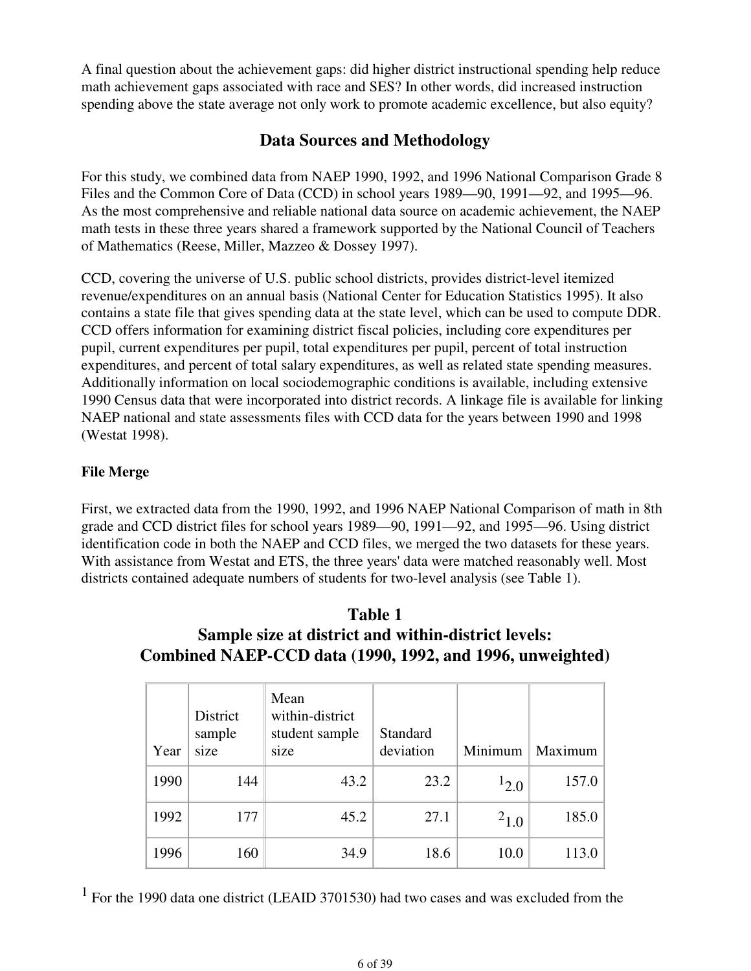A final question about the achievement gaps: did higher district instructional spending help reduce math achievement gaps associated with race and SES? In other words, did increased instruction spending above the state average not only work to promote academic excellence, but also equity?

## **Data Sources and Methodology**

For this study, we combined data from NAEP 1990, 1992, and 1996 National Comparison Grade 8 Files and the Common Core of Data (CCD) in school years 1989—90, 1991—92, and 1995—96. As the most comprehensive and reliable national data source on academic achievement, the NAEP math tests in these three years shared a framework supported by the National Council of Teachers of Mathematics (Reese, Miller, Mazzeo & Dossey 1997).

CCD, covering the universe of U.S. public school districts, provides district-level itemized revenue/expenditures on an annual basis (National Center for Education Statistics 1995). It also contains a state file that gives spending data at the state level, which can be used to compute DDR. CCD offers information for examining district fiscal policies, including core expenditures per pupil, current expenditures per pupil, total expenditures per pupil, percent of total instruction expenditures, and percent of total salary expenditures, as well as related state spending measures. Additionally information on local sociodemographic conditions is available, including extensive 1990 Census data that were incorporated into district records. A linkage file is available for linking NAEP national and state assessments files with CCD data for the years between 1990 and 1998 (Westat 1998).

### **File Merge**

First, we extracted data from the 1990, 1992, and 1996 NAEP National Comparison of math in 8th grade and CCD district files for school years 1989—90, 1991—92, and 1995—96. Using district identification code in both the NAEP and CCD files, we merged the two datasets for these years. With assistance from Westat and ETS, the three years' data were matched reasonably well. Most districts contained adequate numbers of students for two-level analysis (see Table 1).

### **Table 1 Sample size at district and within-district levels: Combined NAEP-CCD data (1990, 1992, and 1996, unweighted)**

| Year | District<br>sample<br>size | Mean<br>within-district<br>student sample<br>size | Standard<br>deviation | Minimum   | Maximum |
|------|----------------------------|---------------------------------------------------|-----------------------|-----------|---------|
| 1990 | 144                        | 43.2                                              | 23.2                  | $1_{2,0}$ | 157.0   |
| 1992 | 177                        | 45.2                                              | 27.1                  | $^{2}1.0$ | 185.0   |
| 1996 | 160                        | 34.9                                              | 18.6                  | 10.0      | 113.0   |

<sup>1</sup> For the 1990 data one district (LEAID 3701530) had two cases and was excluded from the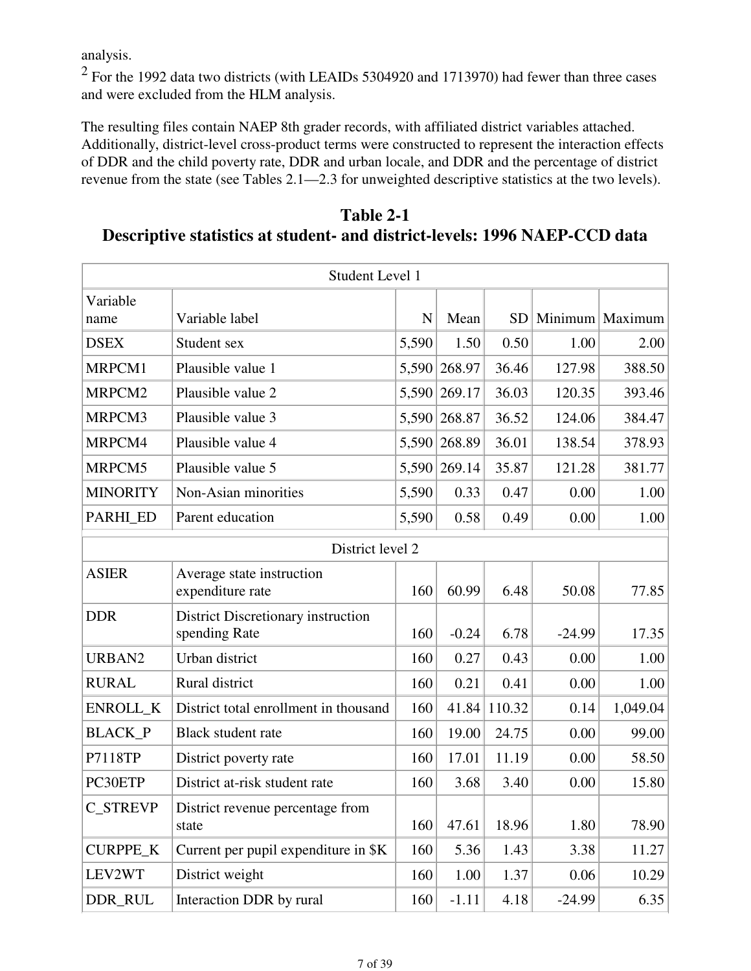analysis.

 $2$  For the 1992 data two districts (with LEAIDs 5304920 and 1713970) had fewer than three cases and were excluded from the HLM analysis.

The resulting files contain NAEP 8th grader records, with affiliated district variables attached. Additionally, district-level cross-product terms were constructed to represent the interaction effects of DDR and the child poverty rate, DDR and urban locale, and DDR and the percentage of district revenue from the state (see Tables 2.1—2.3 for unweighted descriptive statistics at the two levels).

|                                                                            | Table 2-1 |  |
|----------------------------------------------------------------------------|-----------|--|
| Descriptive statistics at student- and district-levels: 1996 NAEP-CCD data |           |  |

|                  | Student Level 1                                     |       |              |              |          |                        |  |  |  |  |
|------------------|-----------------------------------------------------|-------|--------------|--------------|----------|------------------------|--|--|--|--|
| Variable         |                                                     |       |              |              |          |                        |  |  |  |  |
| name             | Variable label                                      | N     | Mean         |              |          | SD   Minimum   Maximum |  |  |  |  |
| <b>DSEX</b>      | Student sex                                         | 5,590 | 1.50         | 0.50         | 1.00     | 2.00                   |  |  |  |  |
| MRPCM1           | Plausible value 1                                   | 5,590 | 268.97       | 36.46        | 127.98   | 388.50                 |  |  |  |  |
| MRPCM2           | Plausible value 2                                   |       | 5,590 269.17 | 36.03        | 120.35   | 393.46                 |  |  |  |  |
| MRPCM3           | Plausible value 3                                   |       | 5,590 268.87 | 36.52        | 124.06   | 384.47                 |  |  |  |  |
| MRPCM4           | Plausible value 4                                   | 5,590 | 268.89       | 36.01        | 138.54   | 378.93                 |  |  |  |  |
| MRPCM5           | Plausible value 5                                   |       | 5,590 269.14 | 35.87        | 121.28   | 381.77                 |  |  |  |  |
| <b>MINORITY</b>  | Non-Asian minorities                                | 5,590 | 0.33         | 0.47         | 0.00     | 1.00                   |  |  |  |  |
| PARHI_ED         | Parent education                                    | 5,590 | 0.58         | 0.49         | 0.00     | 1.00                   |  |  |  |  |
| District level 2 |                                                     |       |              |              |          |                        |  |  |  |  |
| <b>ASIER</b>     | Average state instruction<br>expenditure rate       | 160   | 60.99        | 6.48         | 50.08    | 77.85                  |  |  |  |  |
| <b>DDR</b>       | District Discretionary instruction<br>spending Rate | 160   | $-0.24$      | 6.78         | $-24.99$ | 17.35                  |  |  |  |  |
| URBAN2           | Urban district                                      | 160   | 0.27         | 0.43         | 0.00     | 1.00                   |  |  |  |  |
| <b>RURAL</b>     | Rural district                                      | 160   | 0.21         | 0.41         | 0.00     | 1.00                   |  |  |  |  |
| ENROLL_K         | District total enrollment in thousand               | 160   |              | 41.84 110.32 | 0.14     | 1,049.04               |  |  |  |  |
| <b>BLACK_P</b>   | Black student rate                                  | 160   | 19.00        | 24.75        | 0.00     | 99.00                  |  |  |  |  |
| P7118TP          | District poverty rate                               | 160   | 17.01        | 11.19        | 0.00     | 58.50                  |  |  |  |  |
| PC30ETP          | District at-risk student rate                       | 160   | 3.68         | 3.40         | 0.00     | 15.80                  |  |  |  |  |
| <b>C STREVP</b>  | District revenue percentage from<br>state           | 160   | 47.61        | 18.96        | 1.80     | 78.90                  |  |  |  |  |
| <b>CURPPE_K</b>  | Current per pupil expenditure in \$K                | 160   | 5.36         | 1.43         | 3.38     | 11.27                  |  |  |  |  |
| LEV2WT           | District weight                                     | 160   | 1.00         | 1.37         | 0.06     | 10.29                  |  |  |  |  |
| DDR_RUL          | Interaction DDR by rural                            | 160   | $-1.11$      | 4.18         | $-24.99$ | 6.35                   |  |  |  |  |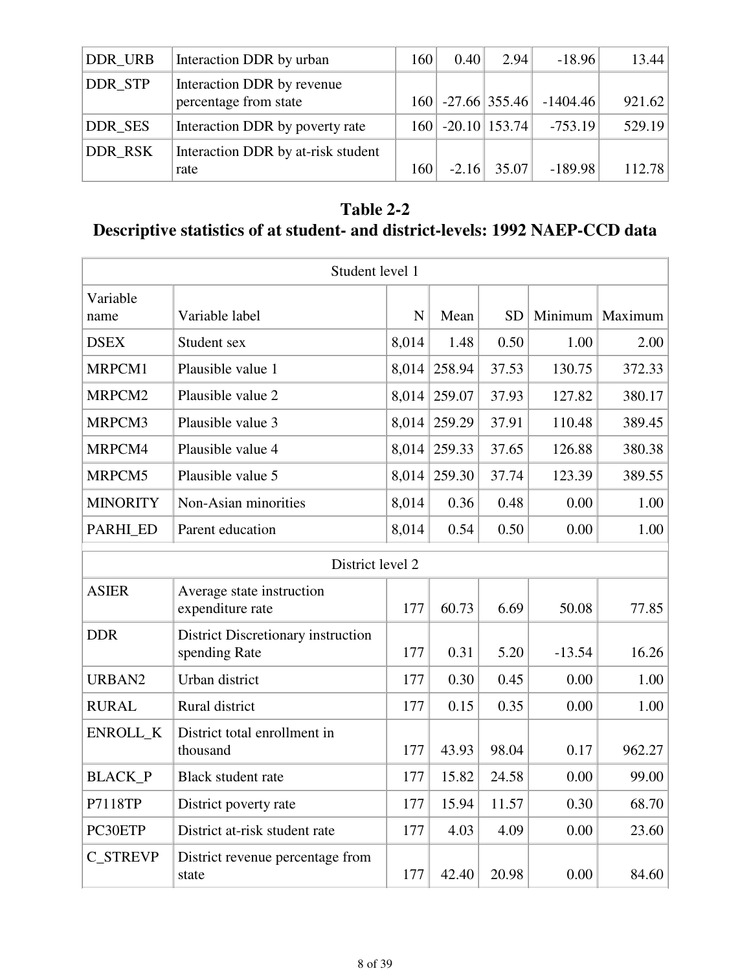| DDR URB | Interaction DDR by urban                            | 160 | 0.40    | 2.94                | $-18.96$   | 13.44  |
|---------|-----------------------------------------------------|-----|---------|---------------------|------------|--------|
| DDR_STP | Interaction DDR by revenue<br>percentage from state |     |         | $160$ -27.66 355.46 | $-1404.46$ | 921.62 |
| DDR_SES | Interaction DDR by poverty rate                     |     |         | $160$ -20.10 153.74 | $-753.19$  | 529.19 |
| DDR_RSK | Interaction DDR by at-risk student<br>rate          | 160 | $-2.16$ | 35.07               | $-189.98$  | 112.78 |

## **Table 2-2**

# **Descriptive statistics of at student- and district-levels: 1992 NAEP-CCD data**

|                  | Student level 1                                     |             |              |           |          |                   |  |  |  |  |  |
|------------------|-----------------------------------------------------|-------------|--------------|-----------|----------|-------------------|--|--|--|--|--|
| Variable<br>name | Variable label                                      | $\mathbf N$ | Mean         | <b>SD</b> |          | Minimum   Maximum |  |  |  |  |  |
| <b>DSEX</b>      | Student sex                                         | 8,014       | 1.48         | 0.50      | 1.00     | 2.00              |  |  |  |  |  |
| MRPCM1           | Plausible value 1                                   | 8,014       | 258.94       | 37.53     | 130.75   | 372.33            |  |  |  |  |  |
| MRPCM2           | Plausible value 2                                   | 8,014       | 259.07       | 37.93     | 127.82   | 380.17            |  |  |  |  |  |
| MRPCM3           | Plausible value 3                                   | 8,014       | 259.29       | 37.91     | 110.48   | 389.45            |  |  |  |  |  |
| MRPCM4           | Plausible value 4                                   | 8,014       | 259.33       | 37.65     | 126.88   | 380.38            |  |  |  |  |  |
| MRPCM5           | Plausible value 5                                   |             | 8,014 259.30 | 37.74     | 123.39   | 389.55            |  |  |  |  |  |
| <b>MINORITY</b>  | Non-Asian minorities                                | 8,014       | 0.36         | 0.48      | 0.00     | 1.00              |  |  |  |  |  |
| PARHI_ED         | Parent education                                    | 8,014       | 0.54         | 0.50      | 0.00     | 1.00              |  |  |  |  |  |
|                  | District level 2                                    |             |              |           |          |                   |  |  |  |  |  |
| <b>ASIER</b>     | Average state instruction<br>expenditure rate       | 177         | 60.73        | 6.69      | 50.08    | 77.85             |  |  |  |  |  |
| <b>DDR</b>       | District Discretionary instruction<br>spending Rate | 177         | 0.31         | 5.20      | $-13.54$ | 16.26             |  |  |  |  |  |
| URBAN2           | Urban district                                      | 177         | 0.30         | 0.45      | 0.00     | 1.00              |  |  |  |  |  |
| <b>RURAL</b>     | Rural district                                      | 177         | 0.15         | 0.35      | 0.00     | 1.00              |  |  |  |  |  |
| ENROLL_K         | District total enrollment in<br>thousand            | 177         | 43.93        | 98.04     | 0.17     | 962.27            |  |  |  |  |  |
| <b>BLACK_P</b>   | <b>Black student rate</b>                           | 177         | 15.82        | 24.58     | 0.00     | 99.00             |  |  |  |  |  |
| P7118TP          | District poverty rate                               | 177         | 15.94        | 11.57     | 0.30     | 68.70             |  |  |  |  |  |
| PC30ETP          | District at-risk student rate                       | 177         | 4.03         | 4.09      | 0.00     | 23.60             |  |  |  |  |  |
| <b>C_STREVP</b>  | District revenue percentage from<br>state           | 177         | 42.40        | 20.98     | 0.00     | 84.60             |  |  |  |  |  |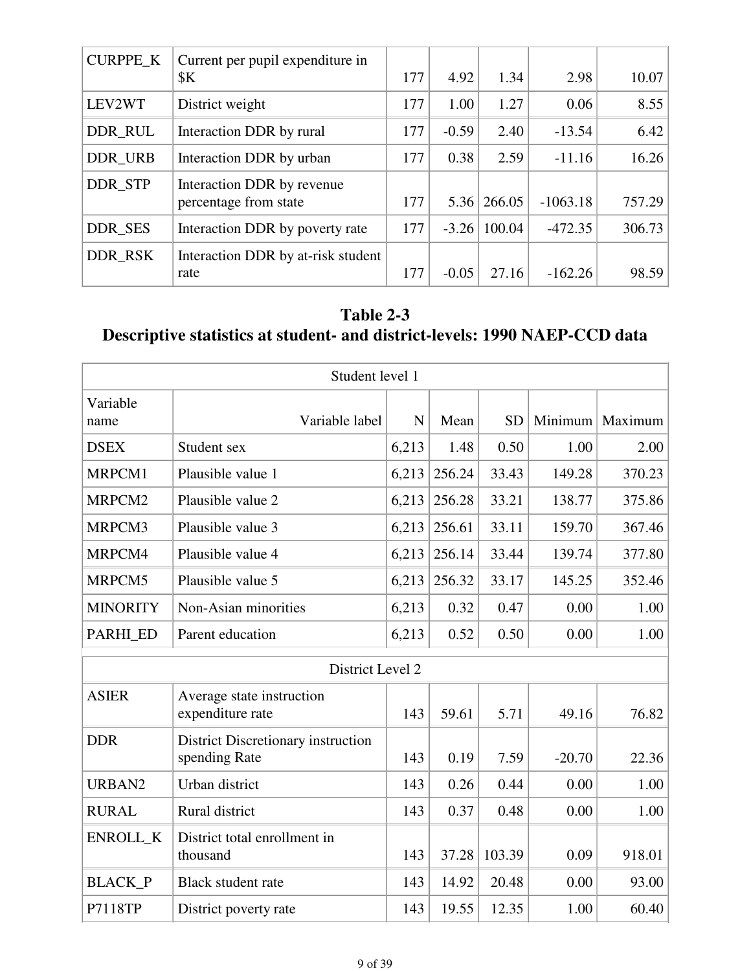| <b>CURPPE_K</b> | Current per pupil expenditure in   |     |         |        |            |        |
|-----------------|------------------------------------|-----|---------|--------|------------|--------|
|                 | \$K\$                              | 177 | 4.92    | 1.34   | 2.98       | 10.07  |
| LEV2WT          | District weight                    | 177 | 1.00    | 1.27   | 0.06       | 8.55   |
| DDR_RUL         | Interaction DDR by rural           | 177 | $-0.59$ | 2.40   | $-13.54$   | 6.42   |
| DDR_URB         | Interaction DDR by urban           | 177 | 0.38    | 2.59   | $-11.16$   | 16.26  |
| DDR_STP         | Interaction DDR by revenue         |     |         |        |            |        |
|                 | percentage from state              | 177 | 5.36    | 266.05 | $-1063.18$ | 757.29 |
| DDR_SES         | Interaction DDR by poverty rate    | 177 | $-3.26$ | 100.04 | $-472.35$  | 306.73 |
| DDR_RSK         | Interaction DDR by at-risk student |     |         |        |            |        |
|                 | rate                               | 177 | $-0.05$ | 27.16  | $-162.26$  | 98.59  |

# **Table 2-3 Descriptive statistics at student- and district-levels: 1990 NAEP-CCD data**

|                  | Student level 1                                     |       |        |           |          |                   |
|------------------|-----------------------------------------------------|-------|--------|-----------|----------|-------------------|
| Variable<br>name | Variable label                                      | N     | Mean   | <b>SD</b> |          | Minimum   Maximum |
| <b>DSEX</b>      | Student sex                                         | 6,213 | 1.48   | 0.50      | 1.00     | 2.00              |
| MRPCM1           | Plausible value 1                                   | 6,213 | 256.24 | 33.43     | 149.28   | 370.23            |
| MRPCM2           | Plausible value 2                                   | 6,213 | 256.28 | 33.21     | 138.77   | 375.86            |
| MRPCM3           | Plausible value 3                                   | 6,213 | 256.61 | 33.11     | 159.70   | 367.46            |
| MRPCM4           | Plausible value 4                                   | 6,213 | 256.14 | 33.44     | 139.74   | 377.80            |
| MRPCM5           | Plausible value 5                                   | 6,213 | 256.32 | 33.17     | 145.25   | 352.46            |
| <b>MINORITY</b>  | Non-Asian minorities                                | 6,213 | 0.32   | 0.47      | 0.00     | 1.00              |
| PARHI_ED         | Parent education                                    | 6,213 | 0.52   | 0.50      | 0.00     | 1.00              |
|                  | District Level 2                                    |       |        |           |          |                   |
| <b>ASIER</b>     | Average state instruction<br>expenditure rate       | 143   | 59.61  | 5.71      | 49.16    | 76.82             |
| <b>DDR</b>       | District Discretionary instruction<br>spending Rate | 143   | 0.19   | 7.59      | $-20.70$ | 22.36             |
| URBAN2           | Urban district                                      | 143   | 0.26   | 0.44      | 0.00     | 1.00              |
| <b>RURAL</b>     | Rural district                                      | 143   | 0.37   | 0.48      | 0.00     | 1.00              |
| <b>ENROLL K</b>  | District total enrollment in<br>thousand            | 143   | 37.28  | 103.39    | 0.09     | 918.01            |
| <b>BLACK_P</b>   | <b>Black student rate</b>                           | 143   | 14.92  | 20.48     | 0.00     | 93.00             |
| P7118TP          | District poverty rate                               | 143   | 19.55  | 12.35     | 1.00     | 60.40             |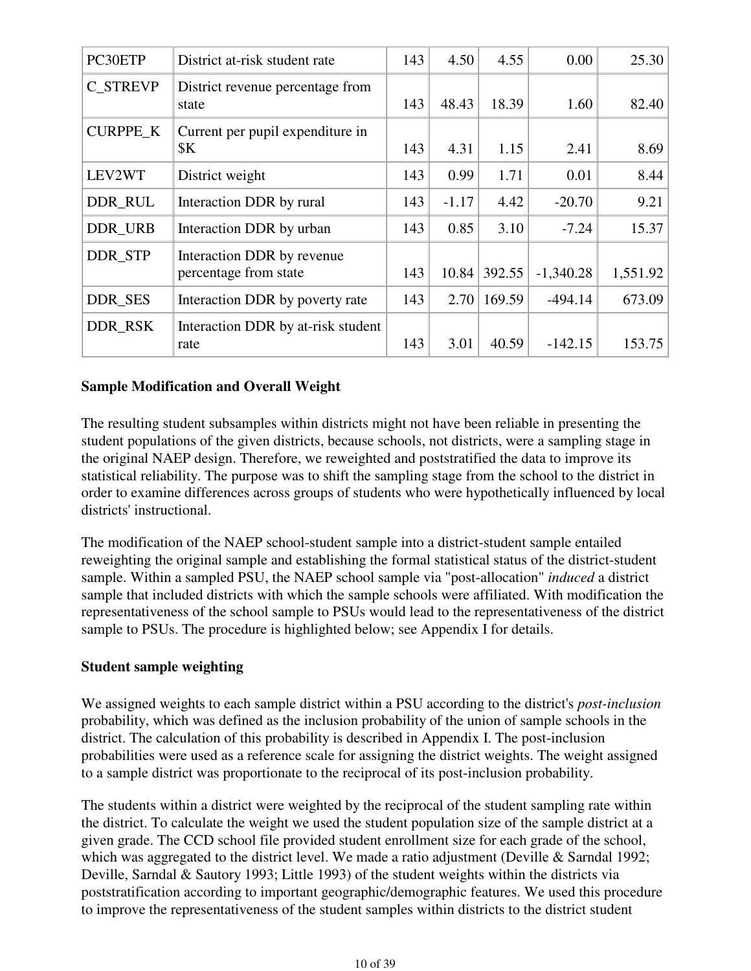| PC30ETP         | District at-risk student rate                       | 143 | 4.50    | 4.55   | 0.00        | 25.30    |
|-----------------|-----------------------------------------------------|-----|---------|--------|-------------|----------|
| C STREVP        | District revenue percentage from<br>state           | 143 | 48.43   | 18.39  | 1.60        | 82.40    |
| <b>CURPPE_K</b> | Current per pupil expenditure in<br>\$K\$           | 143 | 4.31    | 1.15   | 2.41        | 8.69     |
| LEV2WT          | District weight                                     | 143 | 0.99    | 1.71   | 0.01        | 8.44     |
| DDR_RUL         | Interaction DDR by rural                            | 143 | $-1.17$ | 4.42   | $-20.70$    | 9.21     |
| DDR_URB         | Interaction DDR by urban                            | 143 | 0.85    | 3.10   | $-7.24$     | 15.37    |
| <b>DDR STP</b>  | Interaction DDR by revenue<br>percentage from state | 143 | 10.84   | 392.55 | $-1,340.28$ | 1,551.92 |
| DDR_SES         | Interaction DDR by poverty rate                     | 143 | 2.70    | 169.59 | $-494.14$   | 673.09   |
| DDR_RSK         | Interaction DDR by at-risk student<br>rate          | 143 | 3.01    | 40.59  | $-142.15$   | 153.75   |

#### **Sample Modification and Overall Weight**

The resulting student subsamples within districts might not have been reliable in presenting the student populations of the given districts, because schools, not districts, were a sampling stage in the original NAEP design. Therefore, we reweighted and poststratified the data to improve its statistical reliability. The purpose was to shift the sampling stage from the school to the district in order to examine differences across groups of students who were hypothetically influenced by local districts' instructional.

The modification of the NAEP school-student sample into a district-student sample entailed reweighting the original sample and establishing the formal statistical status of the district-student sample. Within a sampled PSU, the NAEP school sample via "post-allocation" *induced* a district sample that included districts with which the sample schools were affiliated. With modification the representativeness of the school sample to PSUs would lead to the representativeness of the district sample to PSUs. The procedure is highlighted below; see Appendix I for details.

#### **Student sample weighting**

We assigned weights to each sample district within a PSU according to the district's *post-inclusion* probability, which was defined as the inclusion probability of the union of sample schools in the district. The calculation of this probability is described in Appendix I. The post-inclusion probabilities were used as a reference scale for assigning the district weights. The weight assigned to a sample district was proportionate to the reciprocal of its post-inclusion probability.

The students within a district were weighted by the reciprocal of the student sampling rate within the district. To calculate the weight we used the student population size of the sample district at a given grade. The CCD school file provided student enrollment size for each grade of the school, which was aggregated to the district level. We made a ratio adjustment (Deville & Sarndal 1992; Deville, Sarndal & Sautory 1993; Little 1993) of the student weights within the districts via poststratification according to important geographic/demographic features. We used this procedure to improve the representativeness of the student samples within districts to the district student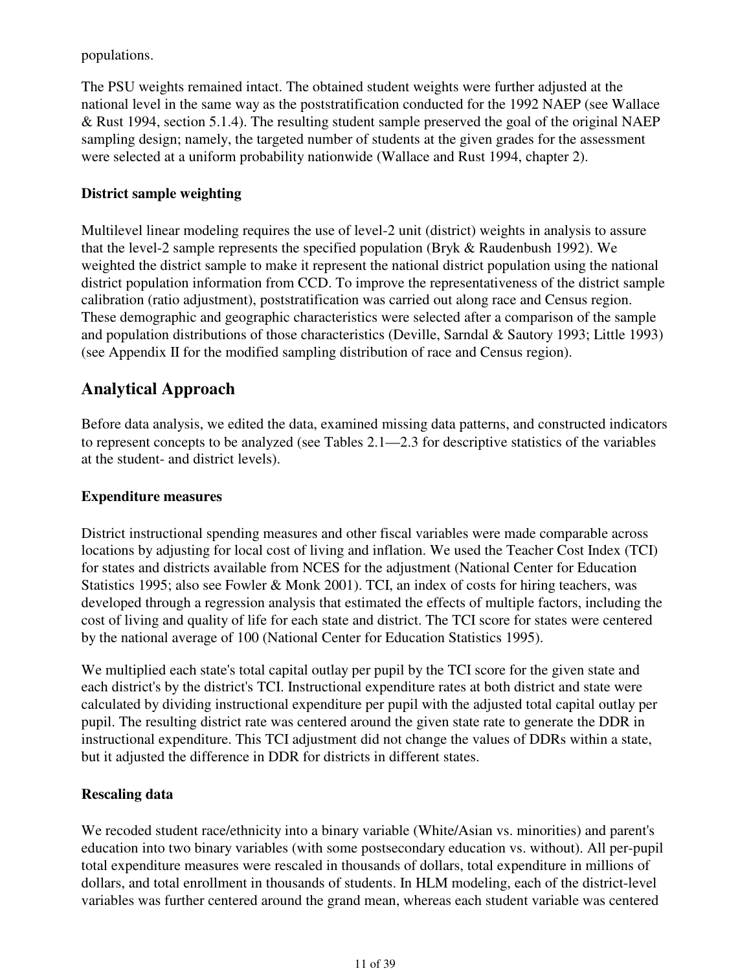populations.

The PSU weights remained intact. The obtained student weights were further adjusted at the national level in the same way as the poststratification conducted for the 1992 NAEP (see Wallace & Rust 1994, section 5.1.4). The resulting student sample preserved the goal of the original NAEP sampling design; namely, the targeted number of students at the given grades for the assessment were selected at a uniform probability nationwide (Wallace and Rust 1994, chapter 2).

### **District sample weighting**

Multilevel linear modeling requires the use of level-2 unit (district) weights in analysis to assure that the level-2 sample represents the specified population (Bryk & Raudenbush 1992). We weighted the district sample to make it represent the national district population using the national district population information from CCD. To improve the representativeness of the district sample calibration (ratio adjustment), poststratification was carried out along race and Census region. These demographic and geographic characteristics were selected after a comparison of the sample and population distributions of those characteristics (Deville, Sarndal & Sautory 1993; Little 1993) (see Appendix II for the modified sampling distribution of race and Census region).

## **Analytical Approach**

Before data analysis, we edited the data, examined missing data patterns, and constructed indicators to represent concepts to be analyzed (see Tables 2.1—2.3 for descriptive statistics of the variables at the student- and district levels).

#### **Expenditure measures**

District instructional spending measures and other fiscal variables were made comparable across locations by adjusting for local cost of living and inflation. We used the Teacher Cost Index (TCI) for states and districts available from NCES for the adjustment (National Center for Education Statistics 1995; also see Fowler & Monk 2001). TCI, an index of costs for hiring teachers, was developed through a regression analysis that estimated the effects of multiple factors, including the cost of living and quality of life for each state and district. The TCI score for states were centered by the national average of 100 (National Center for Education Statistics 1995).

We multiplied each state's total capital outlay per pupil by the TCI score for the given state and each district's by the district's TCI. Instructional expenditure rates at both district and state were calculated by dividing instructional expenditure per pupil with the adjusted total capital outlay per pupil. The resulting district rate was centered around the given state rate to generate the DDR in instructional expenditure. This TCI adjustment did not change the values of DDRs within a state, but it adjusted the difference in DDR for districts in different states.

#### **Rescaling data**

We recoded student race/ethnicity into a binary variable (White/Asian vs. minorities) and parent's education into two binary variables (with some postsecondary education vs. without). All per-pupil total expenditure measures were rescaled in thousands of dollars, total expenditure in millions of dollars, and total enrollment in thousands of students. In HLM modeling, each of the district-level variables was further centered around the grand mean, whereas each student variable was centered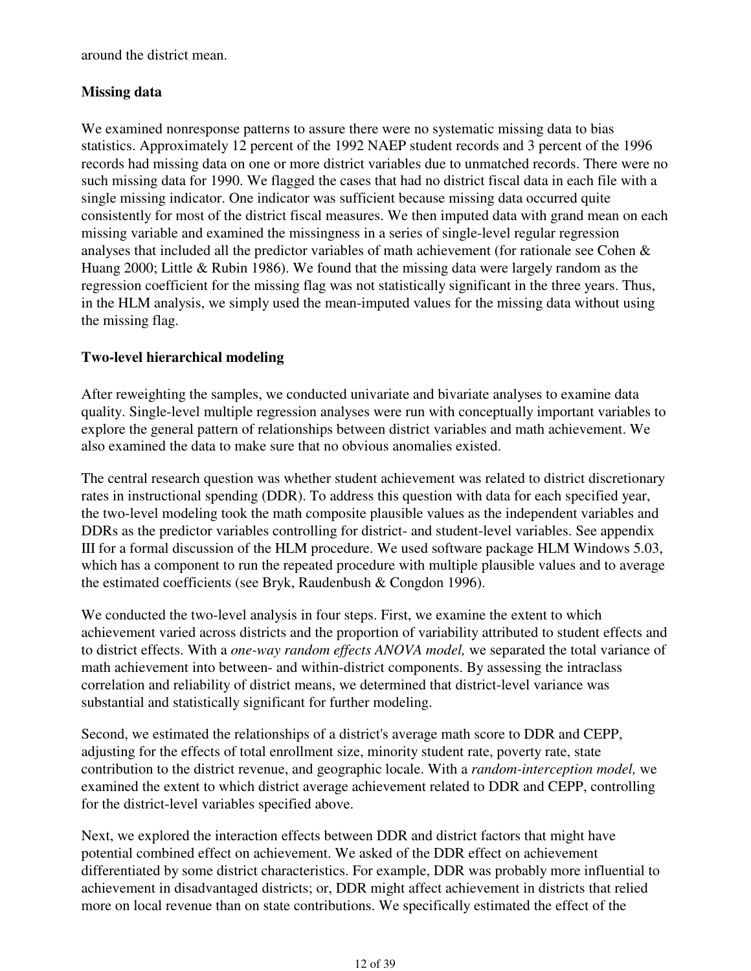around the district mean.

#### **Missing data**

We examined nonresponse patterns to assure there were no systematic missing data to bias statistics. Approximately 12 percent of the 1992 NAEP student records and 3 percent of the 1996 records had missing data on one or more district variables due to unmatched records. There were no such missing data for 1990. We flagged the cases that had no district fiscal data in each file with a single missing indicator. One indicator was sufficient because missing data occurred quite consistently for most of the district fiscal measures. We then imputed data with grand mean on each missing variable and examined the missingness in a series of single-level regular regression analyses that included all the predictor variables of math achievement (for rationale see Cohen & Huang 2000; Little & Rubin 1986). We found that the missing data were largely random as the regression coefficient for the missing flag was not statistically significant in the three years. Thus, in the HLM analysis, we simply used the mean-imputed values for the missing data without using the missing flag.

#### **Two-level hierarchical modeling**

After reweighting the samples, we conducted univariate and bivariate analyses to examine data quality. Single-level multiple regression analyses were run with conceptually important variables to explore the general pattern of relationships between district variables and math achievement. We also examined the data to make sure that no obvious anomalies existed.

The central research question was whether student achievement was related to district discretionary rates in instructional spending (DDR). To address this question with data for each specified year, the two-level modeling took the math composite plausible values as the independent variables and DDRs as the predictor variables controlling for district- and student-level variables. See appendix III for a formal discussion of the HLM procedure. We used software package HLM Windows 5.03, which has a component to run the repeated procedure with multiple plausible values and to average the estimated coefficients (see Bryk, Raudenbush & Congdon 1996).

We conducted the two-level analysis in four steps. First, we examine the extent to which achievement varied across districts and the proportion of variability attributed to student effects and to district effects. With a *one-way random effects ANOVA model,* we separated the total variance of math achievement into between- and within-district components. By assessing the intraclass correlation and reliability of district means, we determined that district-level variance was substantial and statistically significant for further modeling.

Second, we estimated the relationships of a district's average math score to DDR and CEPP, adjusting for the effects of total enrollment size, minority student rate, poverty rate, state contribution to the district revenue, and geographic locale. With a *random-interception model,* we examined the extent to which district average achievement related to DDR and CEPP, controlling for the district-level variables specified above.

Next, we explored the interaction effects between DDR and district factors that might have potential combined effect on achievement. We asked of the DDR effect on achievement differentiated by some district characteristics. For example, DDR was probably more influential to achievement in disadvantaged districts; or, DDR might affect achievement in districts that relied more on local revenue than on state contributions. We specifically estimated the effect of the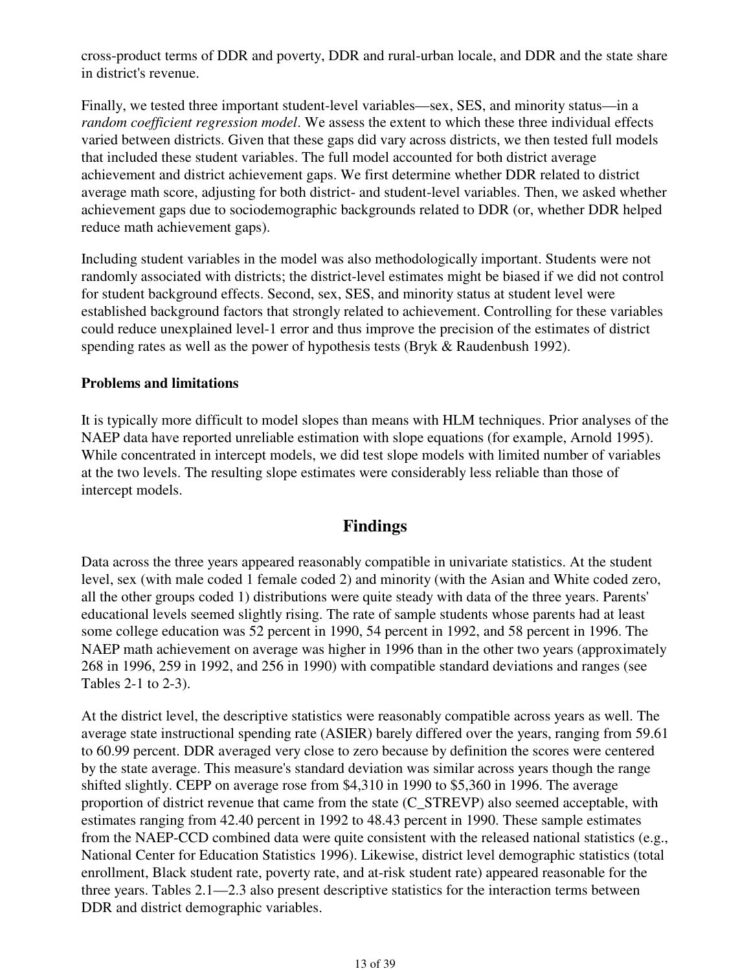cross-product terms of DDR and poverty, DDR and rural-urban locale, and DDR and the state share in district's revenue.

Finally, we tested three important student-level variables—sex, SES, and minority status—in a *random coefficient regression model*. We assess the extent to which these three individual effects varied between districts. Given that these gaps did vary across districts, we then tested full models that included these student variables. The full model accounted for both district average achievement and district achievement gaps. We first determine whether DDR related to district average math score, adjusting for both district- and student-level variables. Then, we asked whether achievement gaps due to sociodemographic backgrounds related to DDR (or, whether DDR helped reduce math achievement gaps).

Including student variables in the model was also methodologically important. Students were not randomly associated with districts; the district-level estimates might be biased if we did not control for student background effects. Second, sex, SES, and minority status at student level were established background factors that strongly related to achievement. Controlling for these variables could reduce unexplained level-1 error and thus improve the precision of the estimates of district spending rates as well as the power of hypothesis tests (Bryk & Raudenbush 1992).

#### **Problems and limitations**

It is typically more difficult to model slopes than means with HLM techniques. Prior analyses of the NAEP data have reported unreliable estimation with slope equations (for example, Arnold 1995). While concentrated in intercept models, we did test slope models with limited number of variables at the two levels. The resulting slope estimates were considerably less reliable than those of intercept models.

## **Findings**

Data across the three years appeared reasonably compatible in univariate statistics. At the student level, sex (with male coded 1 female coded 2) and minority (with the Asian and White coded zero, all the other groups coded 1) distributions were quite steady with data of the three years. Parents' educational levels seemed slightly rising. The rate of sample students whose parents had at least some college education was 52 percent in 1990, 54 percent in 1992, and 58 percent in 1996. The NAEP math achievement on average was higher in 1996 than in the other two years (approximately 268 in 1996, 259 in 1992, and 256 in 1990) with compatible standard deviations and ranges (see Tables 2-1 to 2-3).

At the district level, the descriptive statistics were reasonably compatible across years as well. The average state instructional spending rate (ASIER) barely differed over the years, ranging from 59.61 to 60.99 percent. DDR averaged very close to zero because by definition the scores were centered by the state average. This measure's standard deviation was similar across years though the range shifted slightly. CEPP on average rose from \$4,310 in 1990 to \$5,360 in 1996. The average proportion of district revenue that came from the state (C\_STREVP) also seemed acceptable, with estimates ranging from 42.40 percent in 1992 to 48.43 percent in 1990. These sample estimates from the NAEP-CCD combined data were quite consistent with the released national statistics (e.g., National Center for Education Statistics 1996). Likewise, district level demographic statistics (total enrollment, Black student rate, poverty rate, and at-risk student rate) appeared reasonable for the three years. Tables 2.1—2.3 also present descriptive statistics for the interaction terms between DDR and district demographic variables.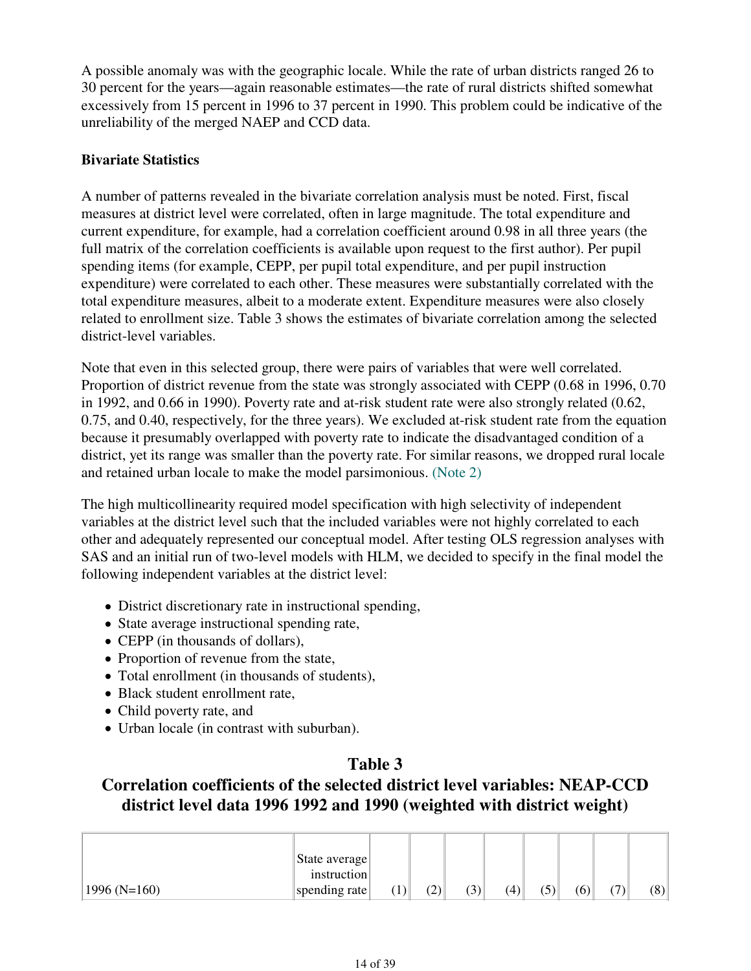A possible anomaly was with the geographic locale. While the rate of urban districts ranged 26 to 30 percent for the years—again reasonable estimates—the rate of rural districts shifted somewhat excessively from 15 percent in 1996 to 37 percent in 1990. This problem could be indicative of the unreliability of the merged NAEP and CCD data.

### **Bivariate Statistics**

A number of patterns revealed in the bivariate correlation analysis must be noted. First, fiscal measures at district level were correlated, often in large magnitude. The total expenditure and current expenditure, for example, had a correlation coefficient around 0.98 in all three years (the full matrix of the correlation coefficients is available upon request to the first author). Per pupil spending items (for example, CEPP, per pupil total expenditure, and per pupil instruction expenditure) were correlated to each other. These measures were substantially correlated with the total expenditure measures, albeit to a moderate extent. Expenditure measures were also closely related to enrollment size. Table 3 shows the estimates of bivariate correlation among the selected district-level variables.

Note that even in this selected group, there were pairs of variables that were well correlated. Proportion of district revenue from the state was strongly associated with CEPP (0.68 in 1996, 0.70 in 1992, and 0.66 in 1990). Poverty rate and at-risk student rate were also strongly related (0.62, 0.75, and 0.40, respectively, for the three years). We excluded at-risk student rate from the equation because it presumably overlapped with poverty rate to indicate the disadvantaged condition of a district, yet its range was smaller than the poverty rate. For similar reasons, we dropped rural locale and retained urban locale to make the model parsimonious. (Note 2)

The high multicollinearity required model specification with high selectivity of independent variables at the district level such that the included variables were not highly correlated to each other and adequately represented our conceptual model. After testing OLS regression analyses with SAS and an initial run of two-level models with HLM, we decided to specify in the final model the following independent variables at the district level:

- District discretionary rate in instructional spending,
- State average instructional spending rate,
- CEPP (in thousands of dollars),
- Proportion of revenue from the state,
- Total enrollment (in thousands of students),
- Black student enrollment rate,
- Child poverty rate, and
- Urban locale (in contrast with suburban).

## **Table 3**

## **Correlation coefficients of the selected district level variables: NEAP-CCD district level data 1996 1992 and 1990 (weighted with district weight)**

|               | State average |                  |     |     |     |     |     |     |     |
|---------------|---------------|------------------|-----|-----|-----|-----|-----|-----|-----|
|               | instruction   |                  |     |     |     |     |     |     |     |
| $1996(N=160)$ | spending rate | $\left  \right $ | (2) | (3) | (4) | (5) | (6) | (7) | (8) |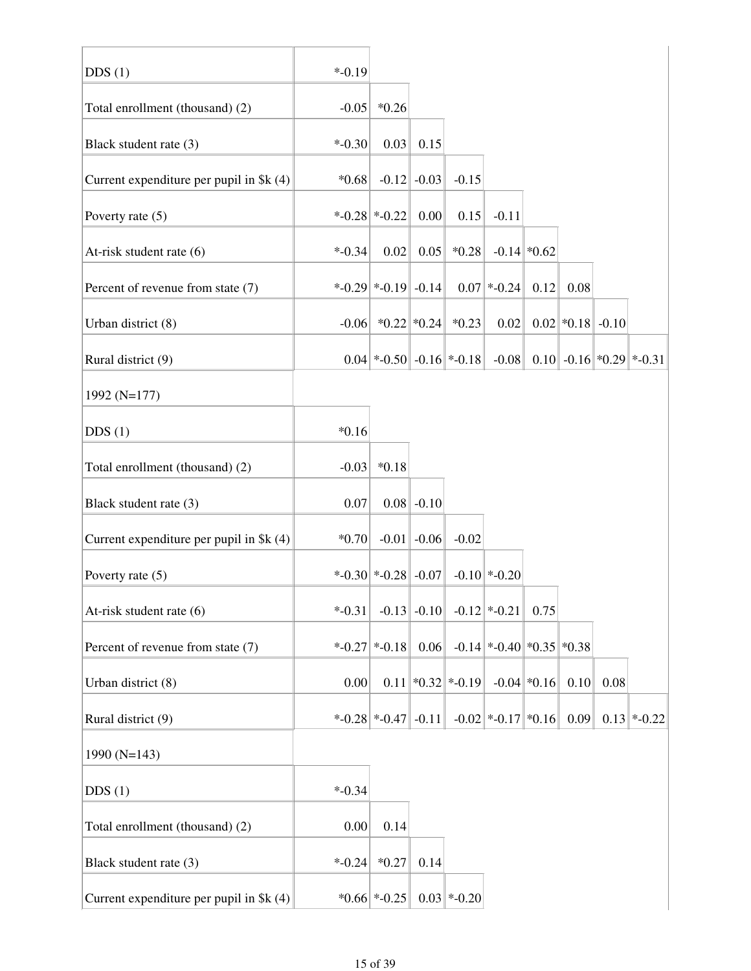| DDS(1)                                   | $* -0.19$ |                            |                 |                           |                            |               |                      |      |                                |
|------------------------------------------|-----------|----------------------------|-----------------|---------------------------|----------------------------|---------------|----------------------|------|--------------------------------|
| Total enrollment (thousand) (2)          | $-0.05$   | $*0.26$                    |                 |                           |                            |               |                      |      |                                |
| Black student rate (3)                   | $* -0.30$ | 0.03                       | 0.15            |                           |                            |               |                      |      |                                |
| Current expenditure per pupil in \$k (4) | $*0.68$   |                            | $-0.12$ $-0.03$ | $-0.15$                   |                            |               |                      |      |                                |
| Poverty rate $(5)$                       |           | $*$ -0.28 $*$ -0.22        | 0.00            | 0.15                      | $-0.11$                    |               |                      |      |                                |
| At-risk student rate (6)                 | $* -0.34$ | 0.02                       | 0.05            | $*0.28$                   |                            | $-0.14$ *0.62 |                      |      |                                |
| Percent of revenue from state (7)        |           | $*$ -0.29 $*$ -0.19 -0.14  |                 |                           | $0.07$ *-0.24              | 0.12          | 0.08                 |      |                                |
| Urban district (8)                       |           | $-0.06$ *0.22 *0.24        |                 | $*0.23$                   | 0.02                       |               | $0.02$ * 0.18 - 0.10 |      |                                |
| Rural district (9)                       |           | $0.04$ *-0.50 -0.16 *-0.18 |                 |                           | $-0.08$                    |               |                      |      | $0.10$ -0.16 $*0.29$ $*$ -0.31 |
| 1992 (N=177)                             |           |                            |                 |                           |                            |               |                      |      |                                |
| DDS(1)                                   | $*0.16$   |                            |                 |                           |                            |               |                      |      |                                |
| Total enrollment (thousand) (2)          | $-0.03$   | $*0.18$                    |                 |                           |                            |               |                      |      |                                |
| Black student rate (3)                   | 0.07      |                            | $0.08$ -0.10    |                           |                            |               |                      |      |                                |
| Current expenditure per pupil in $k(4)$  | $*0.70$   |                            | $-0.01$ $-0.06$ | $-0.02$                   |                            |               |                      |      |                                |
| Poverty rate (5)                         |           | $*$ -0.30 $*$ -0.28 -0.07  |                 |                           | $-0.10$ *-0.20             |               |                      |      |                                |
| At-risk student rate (6)                 | $*$ -0.31 |                            | $-0.13$ $-0.10$ |                           | $-0.12$ *-0.21             | 0.75          |                      |      |                                |
| Percent of revenue from state (7)        |           | $*$ -0.27 $*$ -0.18 0.06   |                 |                           | $-0.14$ *-0.40 *0.35 *0.38 |               |                      |      |                                |
| Urban district (8)                       | 0.00      |                            |                 | $0.11$ * $0.32$ * $-0.19$ |                            | $-0.04$ *0.16 | 0.10                 | 0.08 |                                |
| Rural district (9)                       |           | $*$ -0.28 $*$ -0.47 -0.11  |                 |                           | $-0.02$ *-0.17 *0.16       |               | 0.09                 |      | $0.13$ *-0.22                  |
| 1990 $(N=143)$                           |           |                            |                 |                           |                            |               |                      |      |                                |
| DDS(1)                                   | $* -0.34$ |                            |                 |                           |                            |               |                      |      |                                |
| Total enrollment (thousand) (2)          | 0.00      | 0.14                       |                 |                           |                            |               |                      |      |                                |
| Black student rate (3)                   | $* -0.24$ | $*0.27$                    | 0.14            |                           |                            |               |                      |      |                                |
| Current expenditure per pupil in $k(4)$  |           | $*0.66 *.0.25 $            |                 | $0.03$ *-0.20             |                            |               |                      |      |                                |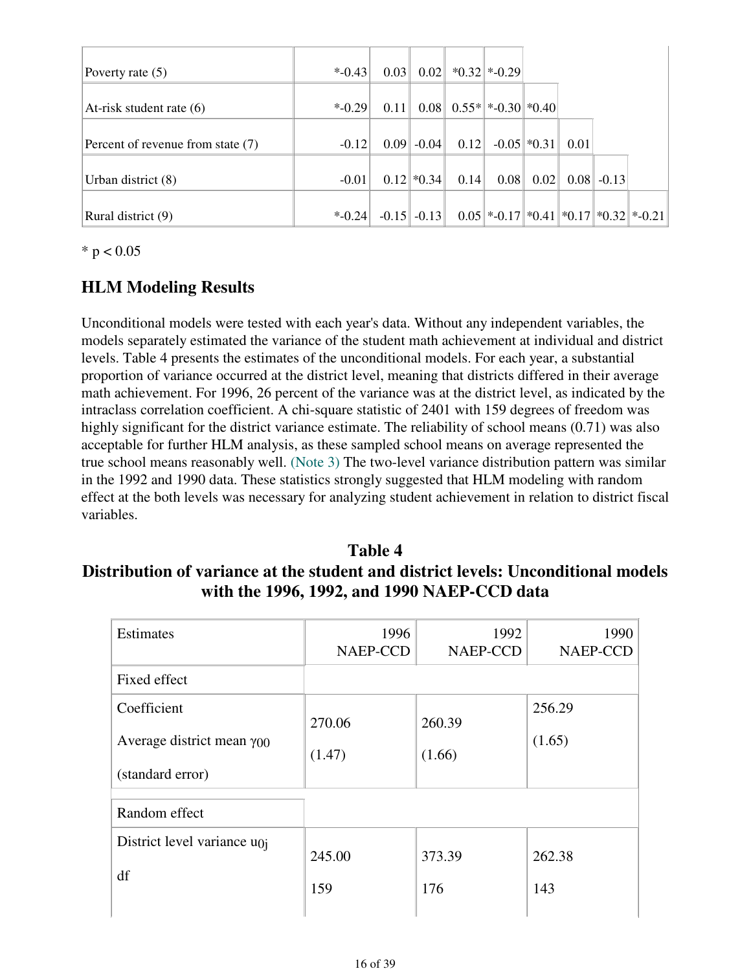| Poverty rate $(5)$                | $*$ -0.43 | 0.03    | 0.02            |      | $*0.32 *.0.29 $                            |                 |      |              |  |
|-----------------------------------|-----------|---------|-----------------|------|--------------------------------------------|-----------------|------|--------------|--|
|                                   |           |         |                 |      |                                            |                 |      |              |  |
| At-risk student rate $(6)$        | $*$ -0.29 | 0.11    |                 |      | $0.08$ 0.55* $\times$ 0.30 $\times$ 0.40   |                 |      |              |  |
|                                   |           |         |                 |      |                                            |                 |      |              |  |
| Percent of revenue from state (7) | $-0.12$   | 0.09    | $-0.04$         | 0.12 |                                            | $-0.05$ $*0.31$ | 0.01 |              |  |
|                                   |           |         |                 |      |                                            |                 |      |              |  |
| Urban district (8)                | $-0.01$   |         | $0.12$ * $0.34$ | 0.14 | 0.08                                       | 0.02            |      | $0.08$ -0.13 |  |
|                                   |           |         |                 |      |                                            |                 |      |              |  |
| Rural district (9)                | $*$ -0.24 | $-0.15$ | $-0.13$         |      | $0.05$ *-0.17 * 0.41 * 0.17 * 0.32 * -0.21 |                 |      |              |  |

 $*$  p < 0.05

## **HLM Modeling Results**

Unconditional models were tested with each year's data. Without any independent variables, the models separately estimated the variance of the student math achievement at individual and district levels. Table 4 presents the estimates of the unconditional models. For each year, a substantial proportion of variance occurred at the district level, meaning that districts differed in their average math achievement. For 1996, 26 percent of the variance was at the district level, as indicated by the intraclass correlation coefficient. A chi-square statistic of 2401 with 159 degrees of freedom was highly significant for the district variance estimate. The reliability of school means (0.71) was also acceptable for further HLM analysis, as these sampled school means on average represented the true school means reasonably well. (Note 3) The two-level variance distribution pattern was similar in the 1992 and 1990 data. These statistics strongly suggested that HLM modeling with random effect at the both levels was necessary for analyzing student achievement in relation to district fiscal variables.

## **Table 4 Distribution of variance at the student and district levels: Unconditional models with the 1996, 1992, and 1990 NAEP-CCD data**

| <b>Estimates</b>                    | 1996<br>NAEP-CCD | 1992<br>NAEP-CCD | 1990<br>NAEP-CCD |  |
|-------------------------------------|------------------|------------------|------------------|--|
| Fixed effect                        |                  |                  |                  |  |
| Coefficient                         | 270.06           | 260.39           | 256.29           |  |
| Average district mean $\gamma_{00}$ | (1.47)           | (1.66)           | (1.65)           |  |
| (standard error)                    |                  |                  |                  |  |
| Random effect                       |                  |                  |                  |  |
| District level variance $u_{0j}$    | 245.00           | 373.39           | 262.38           |  |
| df                                  | 159              | 176              | 143              |  |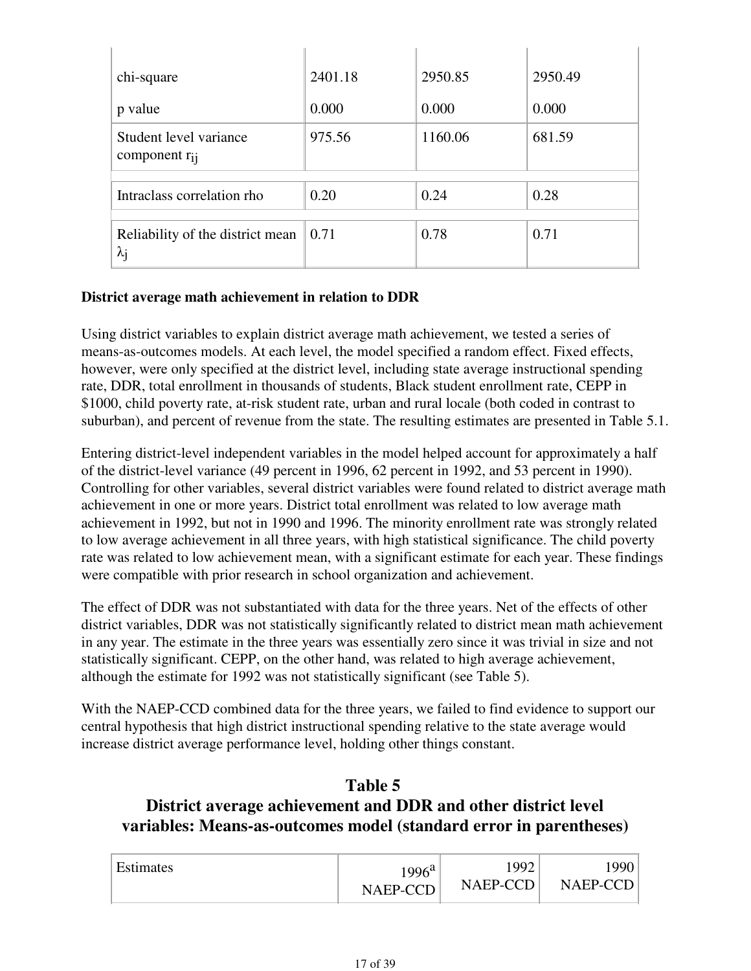| chi-square                                            | 2401.18      | 2950.85 | 2950.49 |
|-------------------------------------------------------|--------------|---------|---------|
| p value                                               | 0.000        | 0.000   | 0.000   |
| Student level variance<br>component $r_{ij}$          | 975.56       | 1160.06 | 681.59  |
| Intraclass correlation rho                            | 0.20         | 0.24    | 0.28    |
| Reliability of the district mean<br>$\lambda_{\rm j}$ | $\vert 0.71$ | 0.78    | 0.71    |

### **District average math achievement in relation to DDR**

Using district variables to explain district average math achievement, we tested a series of means-as-outcomes models. At each level, the model specified a random effect. Fixed effects, however, were only specified at the district level, including state average instructional spending rate, DDR, total enrollment in thousands of students, Black student enrollment rate, CEPP in \$1000, child poverty rate, at-risk student rate, urban and rural locale (both coded in contrast to suburban), and percent of revenue from the state. The resulting estimates are presented in Table 5.1.

Entering district-level independent variables in the model helped account for approximately a half of the district-level variance (49 percent in 1996, 62 percent in 1992, and 53 percent in 1990). Controlling for other variables, several district variables were found related to district average math achievement in one or more years. District total enrollment was related to low average math achievement in 1992, but not in 1990 and 1996. The minority enrollment rate was strongly related to low average achievement in all three years, with high statistical significance. The child poverty rate was related to low achievement mean, with a significant estimate for each year. These findings were compatible with prior research in school organization and achievement.

The effect of DDR was not substantiated with data for the three years. Net of the effects of other district variables, DDR was not statistically significantly related to district mean math achievement in any year. The estimate in the three years was essentially zero since it was trivial in size and not statistically significant. CEPP, on the other hand, was related to high average achievement, although the estimate for 1992 was not statistically significant (see Table 5).

With the NAEP-CCD combined data for the three years, we failed to find evidence to support our central hypothesis that high district instructional spending relative to the state average would increase district average performance level, holding other things constant.

## **Table 5 District average achievement and DDR and other district level variables: Means-as-outcomes model (standard error in parentheses)**

| Estimates | $1996^{\rm a}$ | 1992     | 1990 <sub>1</sub> |
|-----------|----------------|----------|-------------------|
|           | NAEP-CCD       | NAEP-CCD | $NAEP-CCD$        |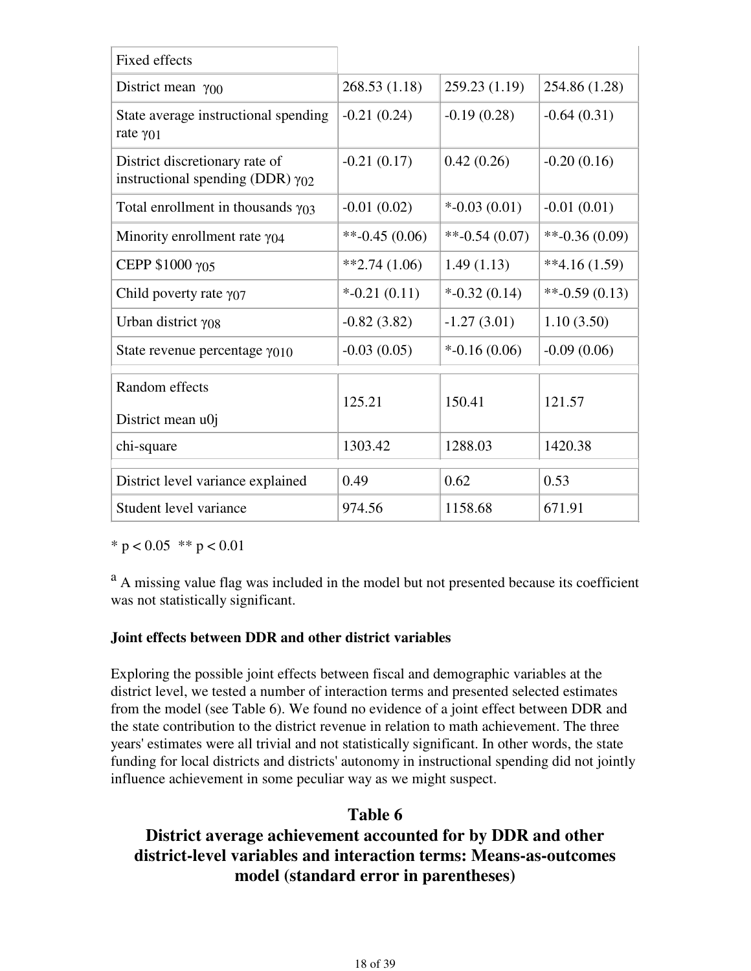| <b>Fixed effects</b>                                                         |                    |                              |                  |
|------------------------------------------------------------------------------|--------------------|------------------------------|------------------|
| District mean $\gamma_{00}$                                                  | 268.53 (1.18)      | 259.23 (1.19)                | 254.86 (1.28)    |
| State average instructional spending<br>rate $\gamma$ <sub>01</sub>          | $-0.21(0.24)$      | $-0.19(0.28)$                | $-0.64(0.31)$    |
| District discretionary rate of<br>instructional spending (DDR) $\gamma_{02}$ | $-0.21(0.17)$      | 0.42(0.26)                   | $-0.20(0.16)$    |
| Total enrollment in thousands $\gamma_{03}$                                  | $-0.01(0.02)$      | $*$ -0.03 (0.01)             | $-0.01(0.01)$    |
| Minority enrollment rate $\gamma_{04}$                                       | $*$ -0.45 (0.06)   | $*$ <sup>-</sup> 0.54 (0.07) | $*$ -0.36 (0.09) |
| CEPP \$1000 γ05                                                              | $*2.74(1.06)$      | 1.49(1.13)                   | $**4.16(1.59)$   |
| Child poverty rate $\gamma_{07}$                                             | $*$ -0.21 $(0.11)$ | $*$ -0.32 (0.14)             | $*$ -0.59 (0.13) |
| Urban district $\gamma_{08}$                                                 | $-0.82(3.82)$      | $-1.27(3.01)$                | 1.10(3.50)       |
| State revenue percentage $\gamma_{010}$                                      | $-0.03(0.05)$      | $*$ -0.16 (0.06)             | $-0.09(0.06)$    |
| Random effects<br>District mean u0j                                          | 125.21             | 150.41                       | 121.57           |
| chi-square                                                                   | 1303.42            | 1288.03                      | 1420.38          |
| District level variance explained                                            | 0.49               | 0.62                         | 0.53             |
| Student level variance                                                       | 974.56             | 1158.68                      | 671.91           |

\*  $p < 0.05$  \*\*  $p < 0.01$ 

<sup>a</sup> A missing value flag was included in the model but not presented because its coefficient was not statistically significant.

#### **Joint effects between DDR and other district variables**

Exploring the possible joint effects between fiscal and demographic variables at the district level, we tested a number of interaction terms and presented selected estimates from the model (see Table 6). We found no evidence of a joint effect between DDR and the state contribution to the district revenue in relation to math achievement. The three years' estimates were all trivial and not statistically significant. In other words, the state funding for local districts and districts' autonomy in instructional spending did not jointly influence achievement in some peculiar way as we might suspect.

## **Table 6**

## **District average achievement accounted for by DDR and other district-level variables and interaction terms: Means-as-outcomes model (standard error in parentheses)**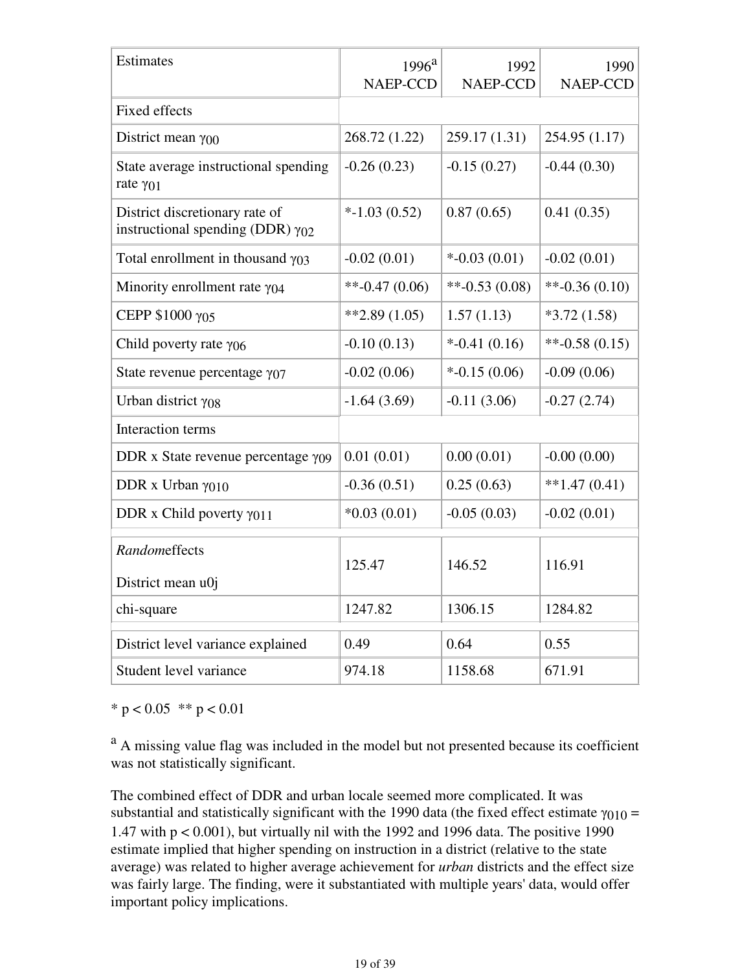| Estimates                                                                    | $1996^{\rm a}$<br>NAEP-CCD | 1992<br><b>NAEP-CCD</b> | 1990<br><b>NAEP-CCD</b> |
|------------------------------------------------------------------------------|----------------------------|-------------------------|-------------------------|
| <b>Fixed effects</b>                                                         |                            |                         |                         |
| District mean $\gamma_{00}$                                                  | 268.72 (1.22)              | 259.17 (1.31)           | 254.95 (1.17)           |
| State average instructional spending<br>rate γ01                             | $-0.26(0.23)$              | $-0.15(0.27)$           | $-0.44(0.30)$           |
| District discretionary rate of<br>instructional spending (DDR) $\gamma_{02}$ | $*-1.03(0.52)$             | 0.87(0.65)              | 0.41(0.35)              |
| Total enrollment in thousand $\gamma_{03}$                                   | $-0.02(0.01)$              | $*$ -0.03 (0.01)        | $-0.02(0.01)$           |
| Minority enrollment rate $\gamma_{04}$                                       | $*$ -0.47 (0.06)           | $*$ -0.53 (0.08)        | $*$ -0.36 (0.10)        |
| CEPP \$1000 γ05                                                              | $*2.89(1.05)$              | 1.57(1.13)              | $*3.72(1.58)$           |
| Child poverty rate $\gamma$ <sub>06</sub>                                    | $-0.10(0.13)$              | $*$ -0.41 $(0.16)$      | $*$ -0.58 (0.15)        |
| State revenue percentage $\gamma_{07}$                                       | $-0.02(0.06)$              | $*$ -0.15 (0.06)        | $-0.09(0.06)$           |
| Urban district $\gamma_{08}$                                                 | $-1.64(3.69)$              | $-0.11(3.06)$           | $-0.27(2.74)$           |
| Interaction terms                                                            |                            |                         |                         |
| DDR x State revenue percentage $\gamma_{09}$                                 | 0.01(0.01)                 | 0.00(0.01)              | $-0.00(0.00)$           |
| DDR x Urban $\gamma$ 010                                                     | $-0.36(0.51)$              | 0.25(0.63)              | $*1.47(0.41)$           |
| DDR x Child poverty $\gamma_{011}$                                           | $*0.03(0.01)$              | $-0.05(0.03)$           | $-0.02(0.01)$           |
| Randomeffects<br>District mean u0j                                           | 125.47                     | 146.52                  | 116.91                  |
| chi-square                                                                   | 1247.82                    | 1306.15                 | 1284.82                 |
| District level variance explained                                            | 0.49                       | 0.64                    | 0.55                    |
| Student level variance                                                       | 974.18                     | 1158.68                 | 671.91                  |

\*  $p < 0.05$  \*\*  $p < 0.01$ 

<sup>a</sup> A missing value flag was included in the model but not presented because its coefficient was not statistically significant.

The combined effect of DDR and urban locale seemed more complicated. It was substantial and statistically significant with the 1990 data (the fixed effect estimate  $\gamma_{010} =$ 1.47 with  $p < 0.001$ ), but virtually nil with the 1992 and 1996 data. The positive 1990 estimate implied that higher spending on instruction in a district (relative to the state average) was related to higher average achievement for *urban* districts and the effect size was fairly large. The finding, were it substantiated with multiple years' data, would offer important policy implications.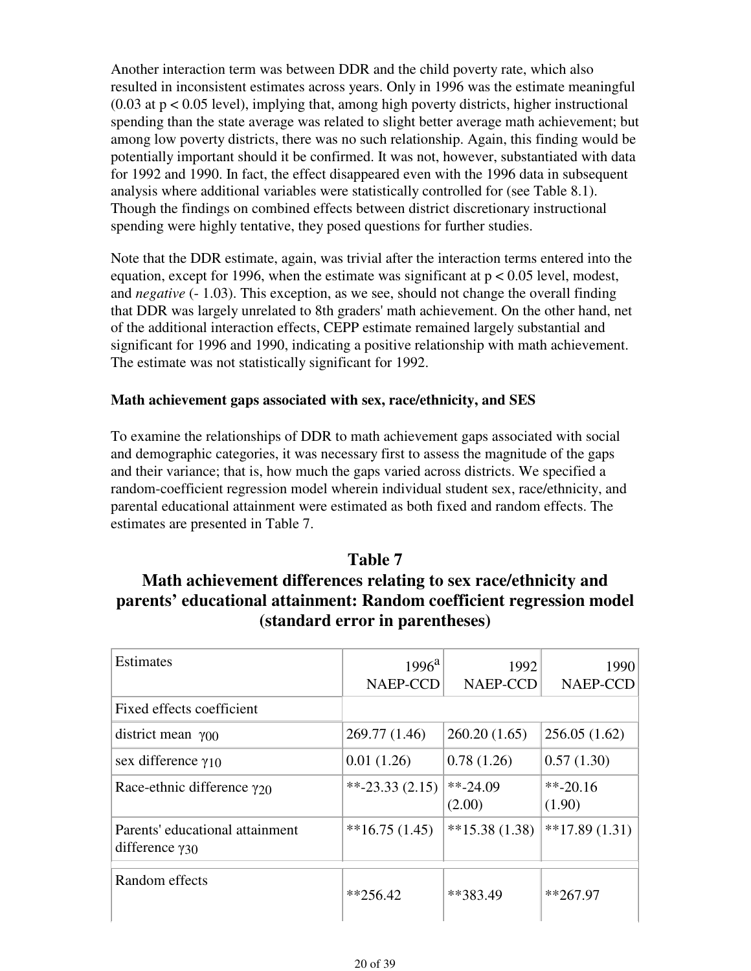Another interaction term was between DDR and the child poverty rate, which also resulted in inconsistent estimates across years. Only in 1996 was the estimate meaningful  $(0.03$  at  $p < 0.05$  level), implying that, among high poverty districts, higher instructional spending than the state average was related to slight better average math achievement; but among low poverty districts, there was no such relationship. Again, this finding would be potentially important should it be confirmed. It was not, however, substantiated with data for 1992 and 1990. In fact, the effect disappeared even with the 1996 data in subsequent analysis where additional variables were statistically controlled for (see Table 8.1). Though the findings on combined effects between district discretionary instructional spending were highly tentative, they posed questions for further studies.

Note that the DDR estimate, again, was trivial after the interaction terms entered into the equation, except for 1996, when the estimate was significant at  $p < 0.05$  level, modest, and *negative* (- 1.03). This exception, as we see, should not change the overall finding that DDR was largely unrelated to 8th graders' math achievement. On the other hand, net of the additional interaction effects, CEPP estimate remained largely substantial and significant for 1996 and 1990, indicating a positive relationship with math achievement. The estimate was not statistically significant for 1992.

#### **Math achievement gaps associated with sex, race/ethnicity, and SES**

To examine the relationships of DDR to math achievement gaps associated with social and demographic categories, it was necessary first to assess the magnitude of the gaps and their variance; that is, how much the gaps varied across districts. We specified a random-coefficient regression model wherein individual student sex, race/ethnicity, and parental educational attainment were estimated as both fixed and random effects. The estimates are presented in Table 7.

### **Table 7**

## **Math achievement differences relating to sex race/ethnicity and parents' educational attainment: Random coefficient regression model (standard error in parentheses)**

| Estimates                                                   | $1996^{\rm a}$<br>NAEP-CCD | 1992<br><b>NAEP-CCD</b> | 1990<br>NAEP-CCD               |
|-------------------------------------------------------------|----------------------------|-------------------------|--------------------------------|
| Fixed effects coefficient                                   |                            |                         |                                |
| district mean $\gamma_{00}$                                 | 269.77 (1.46)              | 260.20(1.65)            | 256.05(1.62)                   |
| sex difference $\gamma_{10}$                                | 0.01(1.26)                 | 0.78(1.26)              | 0.57(1.30)                     |
| Race-ethnic difference $\gamma_{20}$                        | $*$ -23.33 (2.15)          | $*24.09$<br>(2.00)      | $*$ <sup>20.16</sup><br>(1.90) |
| Parents' educational attainment<br>difference $\gamma_{30}$ | $*16.75(1.45)$             | $*15.38(1.38)$          | $*17.89(1.31)$                 |
| Random effects                                              | $*256.42$                  | **383.49                | $*267.97$                      |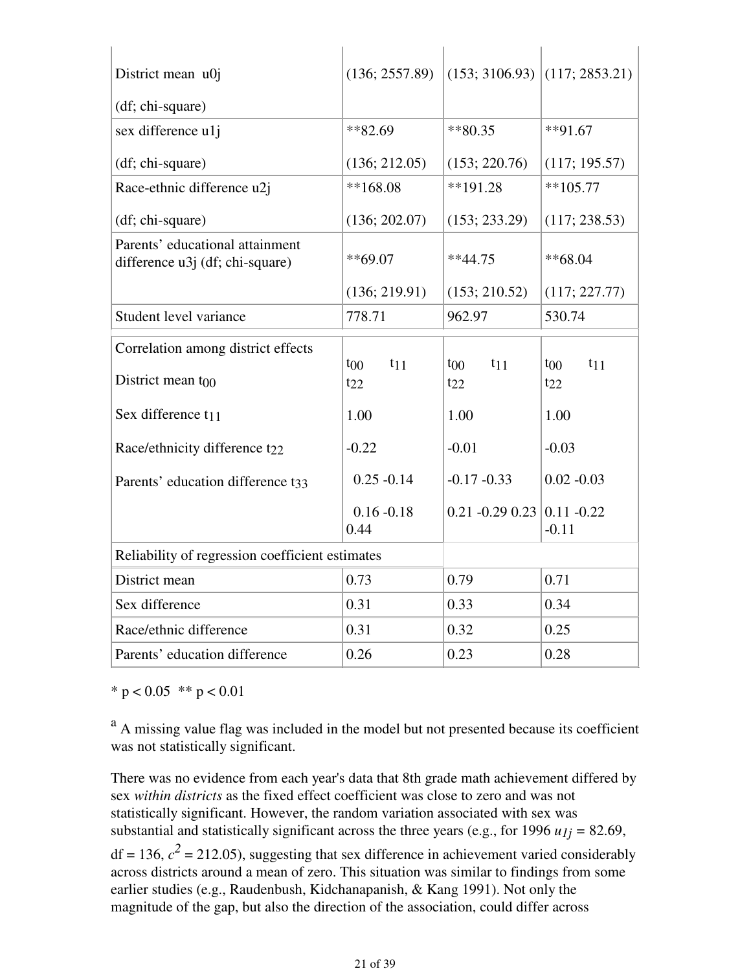| District mean u0j<br>(df; chi-square)                              | (136; 2557.89)        | $(153; 3106.93)$ (117; 2853.21) |                      |
|--------------------------------------------------------------------|-----------------------|---------------------------------|----------------------|
|                                                                    | $*82.69$              | $*80.35$                        | $**91.67$            |
| sex difference u1j                                                 |                       |                                 |                      |
| (df; chi-square)                                                   | (136; 212.05)         | (153; 220.76)                   | (117; 195.57)        |
| Race-ethnic difference u2j                                         | $**168.08$            | $**191.28$                      | $**105.77$           |
| (df; chi-square)                                                   | (136; 202.07)         | (153; 233.29)                   | (117; 238.53)        |
| Parents' educational attainment<br>difference u3j (df; chi-square) | $**69.07$             | $**44.75$                       | $**68.04$            |
|                                                                    | (136; 219.91)         | (153; 210.52)                   | (117; 227.77)        |
| Student level variance                                             | 778.71                | 962.97                          | 530.74               |
| Correlation among district effects                                 |                       |                                 |                      |
|                                                                    | $t_{11}$<br>$t_{00}$  | $t_{00}$<br>$t_{11}$            | $t_{00}$<br>$t_{11}$ |
| District mean $t_{00}$                                             | $t_{22}$              | $t_{22}$                        | $t_{22}$             |
| Sex difference t <sub>11</sub>                                     | 1.00                  | 1.00                            | 1.00                 |
| Race/ethnicity difference t <sub>22</sub>                          | $-0.22$               | $-0.01$                         | $-0.03$              |
| Parents' education difference t33                                  | $0.25 - 0.14$         | $-0.17 - 0.33$                  | $0.02 - 0.03$        |
|                                                                    | $0.16 - 0.18$<br>0.44 | $0.21 - 0.29 0.23 0.11 - 0.22$  | $-0.11$              |
| Reliability of regression coefficient estimates                    |                       |                                 |                      |
| District mean                                                      | 0.73                  | 0.79                            | 0.71                 |
| Sex difference                                                     | 0.31                  | 0.33                            | 0.34                 |
| Race/ethnic difference                                             | 0.31                  | 0.32                            | 0.25                 |
| Parents' education difference                                      | 0.26                  | 0.23                            | 0.28                 |

\*  $p < 0.05$  \*\*  $p < 0.01$ 

<sup>a</sup> A missing value flag was included in the model but not presented because its coefficient was not statistically significant.

There was no evidence from each year's data that 8th grade math achievement differed by sex *within districts* as the fixed effect coefficient was close to zero and was not statistically significant. However, the random variation associated with sex was substantial and statistically significant across the three years (e.g., for 1996  $u_{1j} = 82.69$ ,

 $df = 136$ ,  $c^2 = 212.05$ ), suggesting that sex difference in achievement varied considerably across districts around a mean of zero. This situation was similar to findings from some earlier studies (e.g., Raudenbush, Kidchanapanish, & Kang 1991). Not only the magnitude of the gap, but also the direction of the association, could differ across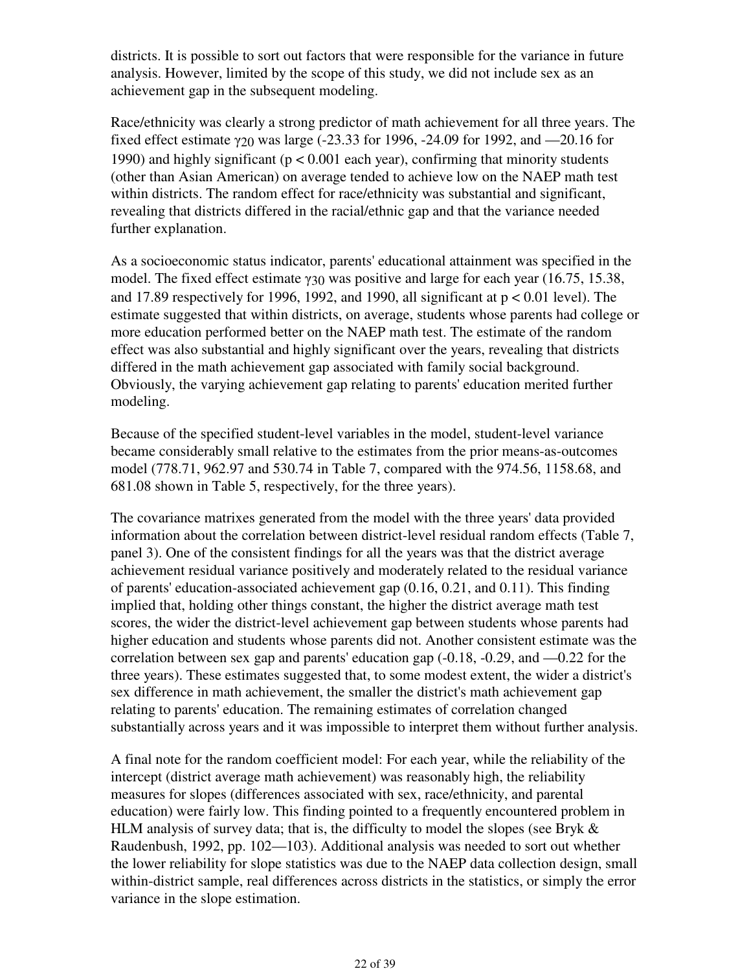districts. It is possible to sort out factors that were responsible for the variance in future analysis. However, limited by the scope of this study, we did not include sex as an achievement gap in the subsequent modeling.

Race/ethnicity was clearly a strong predictor of math achievement for all three years. The fixed effect estimate γ20 was large (-23.33 for 1996, -24.09 for 1992, and —20.16 for 1990) and highly significant ( $p < 0.001$  each year), confirming that minority students (other than Asian American) on average tended to achieve low on the NAEP math test within districts. The random effect for race/ethnicity was substantial and significant, revealing that districts differed in the racial/ethnic gap and that the variance needed further explanation.

As a socioeconomic status indicator, parents' educational attainment was specified in the model. The fixed effect estimate γ30 was positive and large for each year (16.75, 15.38, and 17.89 respectively for 1996, 1992, and 1990, all significant at  $p < 0.01$  level). The estimate suggested that within districts, on average, students whose parents had college or more education performed better on the NAEP math test. The estimate of the random effect was also substantial and highly significant over the years, revealing that districts differed in the math achievement gap associated with family social background. Obviously, the varying achievement gap relating to parents' education merited further modeling.

Because of the specified student-level variables in the model, student-level variance became considerably small relative to the estimates from the prior means-as-outcomes model (778.71, 962.97 and 530.74 in Table 7, compared with the 974.56, 1158.68, and 681.08 shown in Table 5, respectively, for the three years).

The covariance matrixes generated from the model with the three years' data provided information about the correlation between district-level residual random effects (Table 7, panel 3). One of the consistent findings for all the years was that the district average achievement residual variance positively and moderately related to the residual variance of parents' education-associated achievement gap (0.16, 0.21, and 0.11). This finding implied that, holding other things constant, the higher the district average math test scores, the wider the district-level achievement gap between students whose parents had higher education and students whose parents did not. Another consistent estimate was the correlation between sex gap and parents' education gap (-0.18, -0.29, and —0.22 for the three years). These estimates suggested that, to some modest extent, the wider a district's sex difference in math achievement, the smaller the district's math achievement gap relating to parents' education. The remaining estimates of correlation changed substantially across years and it was impossible to interpret them without further analysis.

A final note for the random coefficient model: For each year, while the reliability of the intercept (district average math achievement) was reasonably high, the reliability measures for slopes (differences associated with sex, race/ethnicity, and parental education) were fairly low. This finding pointed to a frequently encountered problem in HLM analysis of survey data; that is, the difficulty to model the slopes (see Bryk & Raudenbush, 1992, pp. 102—103). Additional analysis was needed to sort out whether the lower reliability for slope statistics was due to the NAEP data collection design, small within-district sample, real differences across districts in the statistics, or simply the error variance in the slope estimation.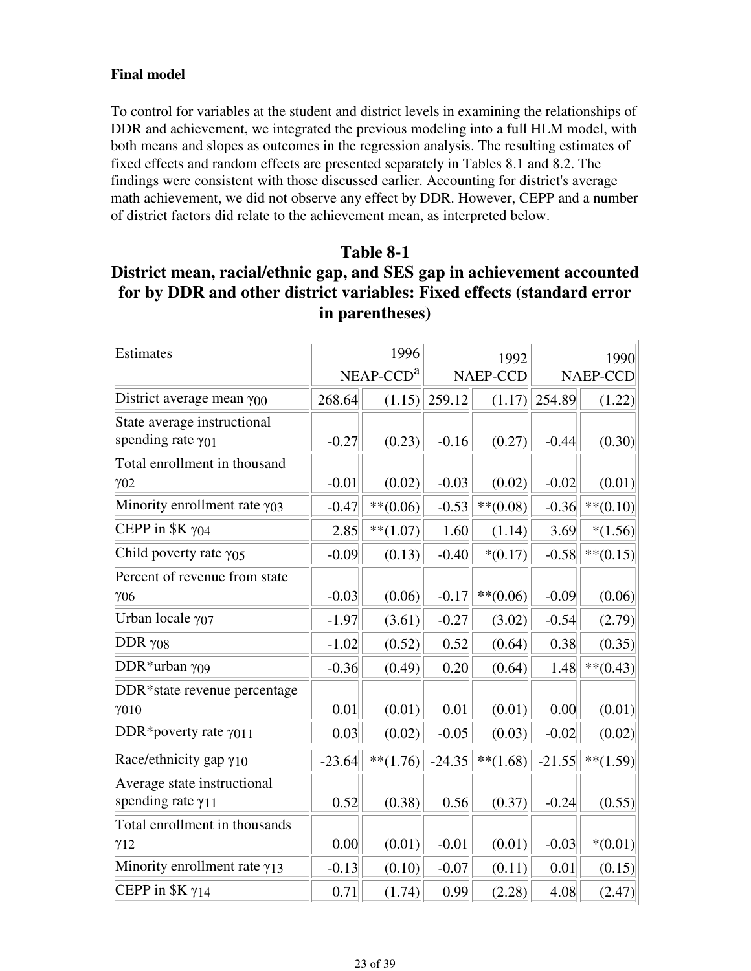### **Final model**

To control for variables at the student and district levels in examining the relationships of DDR and achievement, we integrated the previous modeling into a full HLM model, with both means and slopes as outcomes in the regression analysis. The resulting estimates of fixed effects and random effects are presented separately in Tables 8.1 and 8.2. The findings were consistent with those discussed earlier. Accounting for district's average math achievement, we did not observe any effect by DDR. However, CEPP and a number of district factors did relate to the achievement mean, as interpreted below.

### **Table 8-1**

## **District mean, racial/ethnic gap, and SES gap in achievement accounted for by DDR and other district variables: Fixed effects (standard error in parentheses)**

| Estimates                              | 1996     |             | 1992            |             | 1990            |             |
|----------------------------------------|----------|-------------|-----------------|-------------|-----------------|-------------|
|                                        |          | $NEAP-CCDa$ | <b>NAEP-CCD</b> |             | <b>NAEP-CCD</b> |             |
| District average mean $\gamma_{00}$    | 268.64   | (1.15)      | 259.12          | (1.17)      | 254.89          | (1.22)      |
| State average instructional            |          |             |                 |             |                 |             |
| spending rate $\gamma_{01}$            | $-0.27$  | (0.23)      | $-0.16$         | (0.27)      | $-0.44$         | (0.30)      |
| Total enrollment in thousand           |          |             |                 |             |                 |             |
| $\gamma$ 02                            | $-0.01$  | (0.02)      | $-0.03$         | (0.02)      | $-0.02$         | (0.01)      |
| Minority enrollment rate $\gamma_{03}$ | $-0.47$  | $**$ (0.06) | $-0.53$         | $**$ (0.08) | $-0.36$         | $***(0.10)$ |
| CEPP in $K \gamma_{04}$                | 2.85     | $**$ (1.07) | 1.60            | (1.14)      | 3.69            | $*(1.56)$   |
| Child poverty rate $\gamma_{05}$       | $-0.09$  | (0.13)      | $-0.40$         | $*(0.17)$   | $-0.58$         | $**(0.15)$  |
| Percent of revenue from state          |          |             |                 |             |                 |             |
| $\gamma$ 06                            | $-0.03$  | (0.06)      | $-0.17$         | $***(0.06)$ | $-0.09$         | (0.06)      |
| Urban locale γ07                       | $-1.97$  | (3.61)      | $-0.27$         | (3.02)      | $-0.54$         | (2.79)      |
| DDR $\gamma$ 08                        | $-1.02$  | (0.52)      | 0.52            | (0.64)      | 0.38            | (0.35)      |
| DDR*urban $\gamma$ 09                  | $-0.36$  | (0.49)      | 0.20            | (0.64)      | 1.48            | $**(0.43)$  |
| DDR*state revenue percentage           |          |             |                 |             |                 |             |
| $\gamma$ 010                           | 0.01     | (0.01)      | 0.01            | (0.01)      | 0.00            | (0.01)      |
| DDR*poverty rate $\gamma$ 011          | 0.03     | (0.02)      | $-0.05$         | (0.03)      | $-0.02$         | (0.02)      |
| Race/ethnicity gap $\gamma_{10}$       | $-23.64$ | $**(1.76)$  | $-24.35$        | $**(1.68)$  | $-21.55$        | $**(1.59)$  |
| Average state instructional            |          |             |                 |             |                 |             |
| spending rate $\gamma_{11}$            | 0.52     | (0.38)      | 0.56            | (0.37)      | $-0.24$         | (0.55)      |
| Total enrollment in thousands          |          |             |                 |             |                 |             |
| $\gamma_{12}$                          | 0.00     | (0.01)      | $-0.01$         | (0.01)      | $-0.03$         | $*(0.01)$   |
| Minority enrollment rate $\gamma_{13}$ | $-0.13$  | (0.10)      | $-0.07$         | (0.11)      | 0.01            | (0.15)      |
| CEPP in $K \gamma_{14}$                | 0.71     | (1.74)      | 0.99            | (2.28)      | 4.08            | (2.47)      |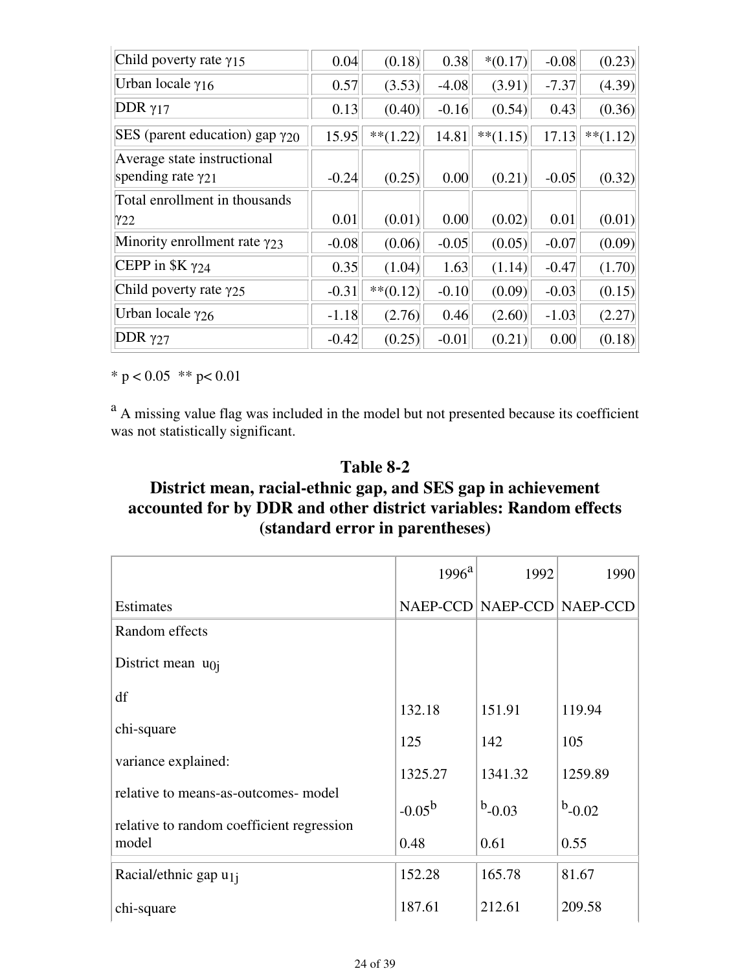| Child poverty rate $\gamma$ 15           | 0.04    | (0.18)      | 0.38    | $*(0.17)$  | $-0.08$ | (0.23)     |
|------------------------------------------|---------|-------------|---------|------------|---------|------------|
| Urban locale $\gamma_{16}$               | 0.57    | (3.53)      | $-4.08$ | (3.91)     | $-7.37$ | (4.39)     |
| DDR $\gamma$ 17                          | 0.13    | (0.40)      | $-0.16$ | (0.54)     | 0.43    | (0.36)     |
| SES (parent education) gap $\gamma_{20}$ | 15.95   | $**$ (1.22) | 14.81   | $**(1.15)$ | 17.13   | $**(1.12)$ |
| Average state instructional              |         |             |         |            |         |            |
| spending rate $\gamma_{21}$              | $-0.24$ | (0.25)      | 0.00    | (0.21)     | $-0.05$ | (0.32)     |
| Total enrollment in thousands            |         |             |         |            |         |            |
| Y22                                      | 0.01    | (0.01)      | 0.00    | (0.02)     | 0.01    | (0.01)     |
| Minority enrollment rate $\gamma_{23}$   | $-0.08$ | (0.06)      | $-0.05$ | (0.05)     | $-0.07$ | (0.09)     |
| CEPP in $K \gamma_{24}$                  | 0.35    | (1.04)      | 1.63    | (1.14)     | $-0.47$ | (1.70)     |
| Child poverty rate $\gamma_{25}$         | $-0.31$ | $**(0.12)$  | $-0.10$ | (0.09)     | $-0.03$ | (0.15)     |
| Urban locale $\gamma_{26}$               | $-1.18$ | (2.76)      | 0.46    | (2.60)     | $-1.03$ | (2.27)     |
| DDR $\gamma$ 27                          | $-0.42$ | (0.25)      | $-0.01$ | (0.21)     | 0.00    | (0.18)     |

\*  $p < 0.05$  \*\*  $p < 0.01$ 

<sup>a</sup> A missing value flag was included in the model but not presented because its coefficient was not statistically significant.

## **Table 8-2**

## **District mean, racial-ethnic gap, and SES gap in achievement accounted for by DDR and other district variables: Random effects (standard error in parentheses)**

|                                                    | $1996^{\rm a}$ | 1992                       | 1990      |
|----------------------------------------------------|----------------|----------------------------|-----------|
| Estimates                                          |                | NAEP-CCD NAEP-CCD NAEP-CCD |           |
| Random effects                                     |                |                            |           |
| District mean $u_{0j}$                             |                |                            |           |
| df                                                 | 132.18         | 151.91                     | 119.94    |
| chi-square                                         | 125            | 142                        | 105       |
| variance explained:                                | 1325.27        | 1341.32                    | 1259.89   |
| relative to means-as-outcomes- model               | $-0.05^{b}$    | $b$ -0.03                  | $b$ -0.02 |
| relative to random coefficient regression<br>model | 0.48           | 0.61                       | 0.55      |
| Racial/ethnic gap u <sub>1j</sub>                  | 152.28         | 165.78                     | 81.67     |
| chi-square                                         | 187.61         | 212.61                     | 209.58    |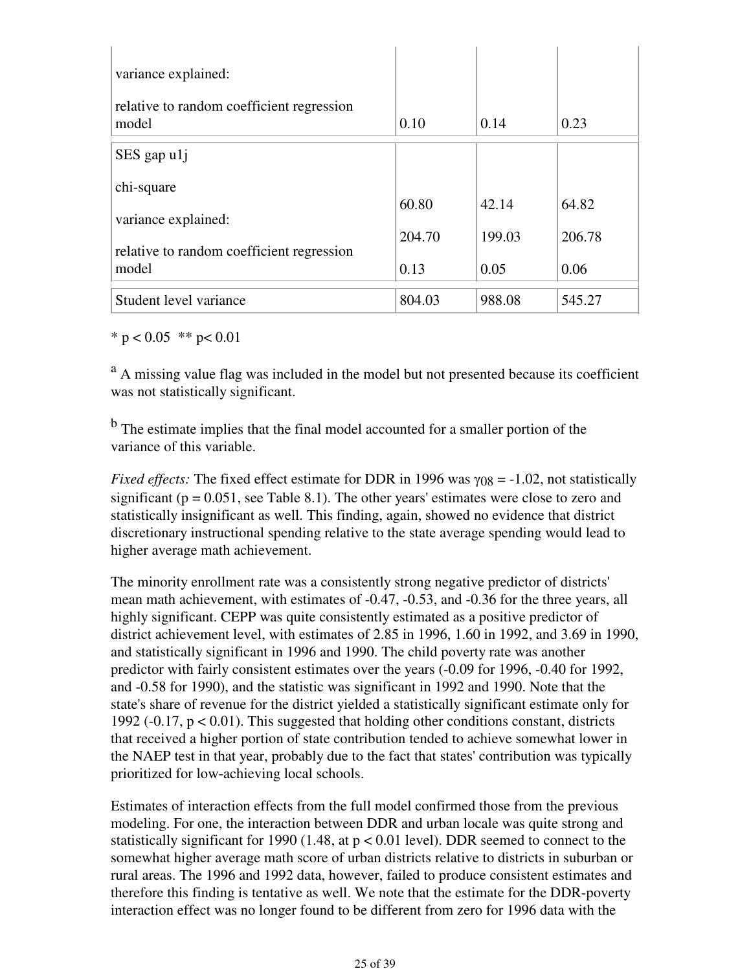| variance explained:<br>relative to random coefficient regression |        |        |        |
|------------------------------------------------------------------|--------|--------|--------|
| model                                                            | 0.10   | 0.14   | 0.23   |
| $SES$ gap $u1j$                                                  |        |        |        |
| chi-square                                                       |        |        |        |
|                                                                  | 60.80  | 42.14  | 64.82  |
| variance explained:                                              |        |        |        |
| relative to random coefficient regression                        | 204.70 | 199.03 | 206.78 |
| model                                                            | 0.13   | 0.05   | 0.06   |
|                                                                  |        |        |        |
| Student level variance                                           | 804.03 | 988.08 | 545.27 |

\*  $p < 0.05$  \*\*  $p < 0.01$ 

<sup>a</sup> A missing value flag was included in the model but not presented because its coefficient was not statistically significant.

<sup>b</sup> The estimate implies that the final model accounted for a smaller portion of the variance of this variable.

*Fixed effects:* The fixed effect estimate for DDR in 1996 was  $\gamma_{08} = -1.02$ , not statistically significant ( $p = 0.051$ , see Table 8.1). The other years' estimates were close to zero and statistically insignificant as well. This finding, again, showed no evidence that district discretionary instructional spending relative to the state average spending would lead to higher average math achievement.

The minority enrollment rate was a consistently strong negative predictor of districts' mean math achievement, with estimates of -0.47, -0.53, and -0.36 for the three years, all highly significant. CEPP was quite consistently estimated as a positive predictor of district achievement level, with estimates of 2.85 in 1996, 1.60 in 1992, and 3.69 in 1990, and statistically significant in 1996 and 1990. The child poverty rate was another predictor with fairly consistent estimates over the years (-0.09 for 1996, -0.40 for 1992, and -0.58 for 1990), and the statistic was significant in 1992 and 1990. Note that the state's share of revenue for the district yielded a statistically significant estimate only for 1992 ( $-0.17$ ,  $p < 0.01$ ). This suggested that holding other conditions constant, districts that received a higher portion of state contribution tended to achieve somewhat lower in the NAEP test in that year, probably due to the fact that states' contribution was typically prioritized for low-achieving local schools.

Estimates of interaction effects from the full model confirmed those from the previous modeling. For one, the interaction between DDR and urban locale was quite strong and statistically significant for 1990 (1.48, at  $p < 0.01$  level). DDR seemed to connect to the somewhat higher average math score of urban districts relative to districts in suburban or rural areas. The 1996 and 1992 data, however, failed to produce consistent estimates and therefore this finding is tentative as well. We note that the estimate for the DDR-poverty interaction effect was no longer found to be different from zero for 1996 data with the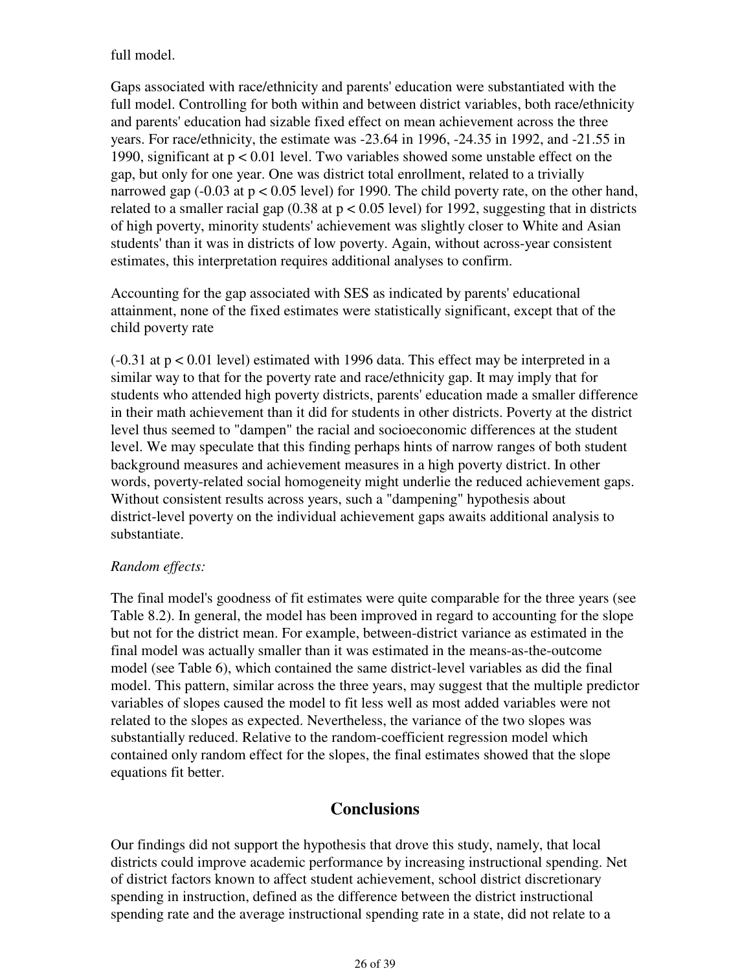full model.

Gaps associated with race/ethnicity and parents' education were substantiated with the full model. Controlling for both within and between district variables, both race/ethnicity and parents' education had sizable fixed effect on mean achievement across the three years. For race/ethnicity, the estimate was -23.64 in 1996, -24.35 in 1992, and -21.55 in 1990, significant at p < 0.01 level. Two variables showed some unstable effect on the gap, but only for one year. One was district total enrollment, related to a trivially narrowed gap  $(-0.03$  at  $p < 0.05$  level) for 1990. The child poverty rate, on the other hand, related to a smaller racial gap  $(0.38 \text{ at } p < 0.05 \text{ level})$  for 1992, suggesting that in districts of high poverty, minority students' achievement was slightly closer to White and Asian students' than it was in districts of low poverty. Again, without across-year consistent estimates, this interpretation requires additional analyses to confirm.

Accounting for the gap associated with SES as indicated by parents' educational attainment, none of the fixed estimates were statistically significant, except that of the child poverty rate

(-0.31 at p < 0.01 level) estimated with 1996 data. This effect may be interpreted in a similar way to that for the poverty rate and race/ethnicity gap. It may imply that for students who attended high poverty districts, parents' education made a smaller difference in their math achievement than it did for students in other districts. Poverty at the district level thus seemed to "dampen" the racial and socioeconomic differences at the student level. We may speculate that this finding perhaps hints of narrow ranges of both student background measures and achievement measures in a high poverty district. In other words, poverty-related social homogeneity might underlie the reduced achievement gaps. Without consistent results across years, such a "dampening" hypothesis about district-level poverty on the individual achievement gaps awaits additional analysis to substantiate.

#### *Random effects:*

The final model's goodness of fit estimates were quite comparable for the three years (see Table 8.2). In general, the model has been improved in regard to accounting for the slope but not for the district mean. For example, between-district variance as estimated in the final model was actually smaller than it was estimated in the means-as-the-outcome model (see Table 6), which contained the same district-level variables as did the final model. This pattern, similar across the three years, may suggest that the multiple predictor variables of slopes caused the model to fit less well as most added variables were not related to the slopes as expected. Nevertheless, the variance of the two slopes was substantially reduced. Relative to the random-coefficient regression model which contained only random effect for the slopes, the final estimates showed that the slope equations fit better.

## **Conclusions**

Our findings did not support the hypothesis that drove this study, namely, that local districts could improve academic performance by increasing instructional spending. Net of district factors known to affect student achievement, school district discretionary spending in instruction, defined as the difference between the district instructional spending rate and the average instructional spending rate in a state, did not relate to a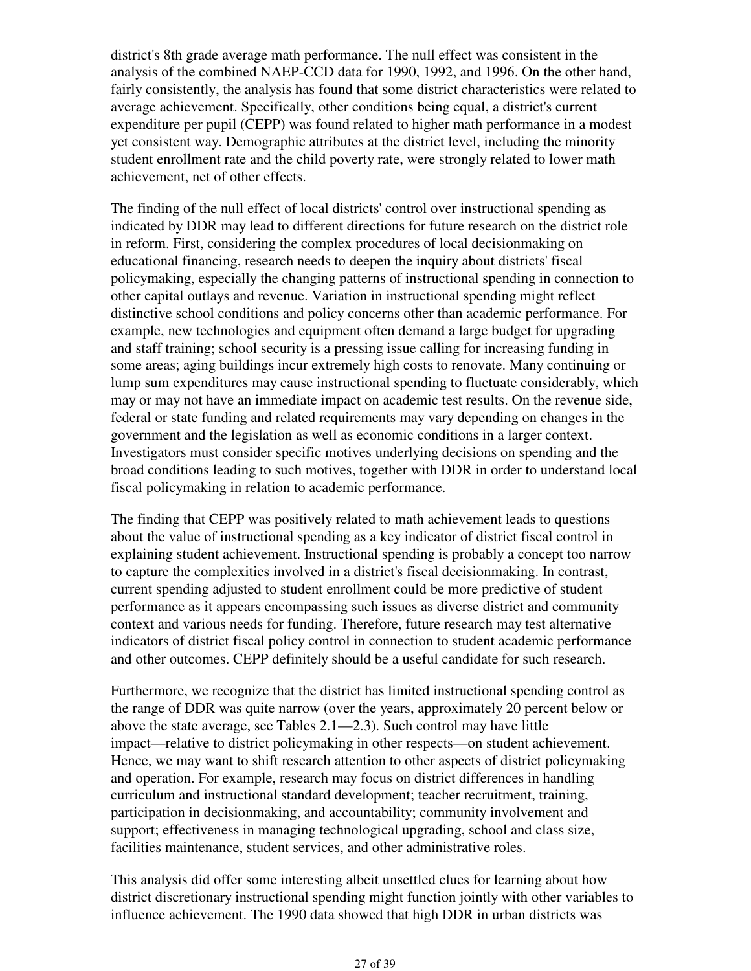district's 8th grade average math performance. The null effect was consistent in the analysis of the combined NAEP-CCD data for 1990, 1992, and 1996. On the other hand, fairly consistently, the analysis has found that some district characteristics were related to average achievement. Specifically, other conditions being equal, a district's current expenditure per pupil (CEPP) was found related to higher math performance in a modest yet consistent way. Demographic attributes at the district level, including the minority student enrollment rate and the child poverty rate, were strongly related to lower math achievement, net of other effects.

The finding of the null effect of local districts' control over instructional spending as indicated by DDR may lead to different directions for future research on the district role in reform. First, considering the complex procedures of local decisionmaking on educational financing, research needs to deepen the inquiry about districts' fiscal policymaking, especially the changing patterns of instructional spending in connection to other capital outlays and revenue. Variation in instructional spending might reflect distinctive school conditions and policy concerns other than academic performance. For example, new technologies and equipment often demand a large budget for upgrading and staff training; school security is a pressing issue calling for increasing funding in some areas; aging buildings incur extremely high costs to renovate. Many continuing or lump sum expenditures may cause instructional spending to fluctuate considerably, which may or may not have an immediate impact on academic test results. On the revenue side, federal or state funding and related requirements may vary depending on changes in the government and the legislation as well as economic conditions in a larger context. Investigators must consider specific motives underlying decisions on spending and the broad conditions leading to such motives, together with DDR in order to understand local fiscal policymaking in relation to academic performance.

The finding that CEPP was positively related to math achievement leads to questions about the value of instructional spending as a key indicator of district fiscal control in explaining student achievement. Instructional spending is probably a concept too narrow to capture the complexities involved in a district's fiscal decisionmaking. In contrast, current spending adjusted to student enrollment could be more predictive of student performance as it appears encompassing such issues as diverse district and community context and various needs for funding. Therefore, future research may test alternative indicators of district fiscal policy control in connection to student academic performance and other outcomes. CEPP definitely should be a useful candidate for such research.

Furthermore, we recognize that the district has limited instructional spending control as the range of DDR was quite narrow (over the years, approximately 20 percent below or above the state average, see Tables 2.1—2.3). Such control may have little impact—relative to district policymaking in other respects—on student achievement. Hence, we may want to shift research attention to other aspects of district policymaking and operation. For example, research may focus on district differences in handling curriculum and instructional standard development; teacher recruitment, training, participation in decisionmaking, and accountability; community involvement and support; effectiveness in managing technological upgrading, school and class size, facilities maintenance, student services, and other administrative roles.

This analysis did offer some interesting albeit unsettled clues for learning about how district discretionary instructional spending might function jointly with other variables to influence achievement. The 1990 data showed that high DDR in urban districts was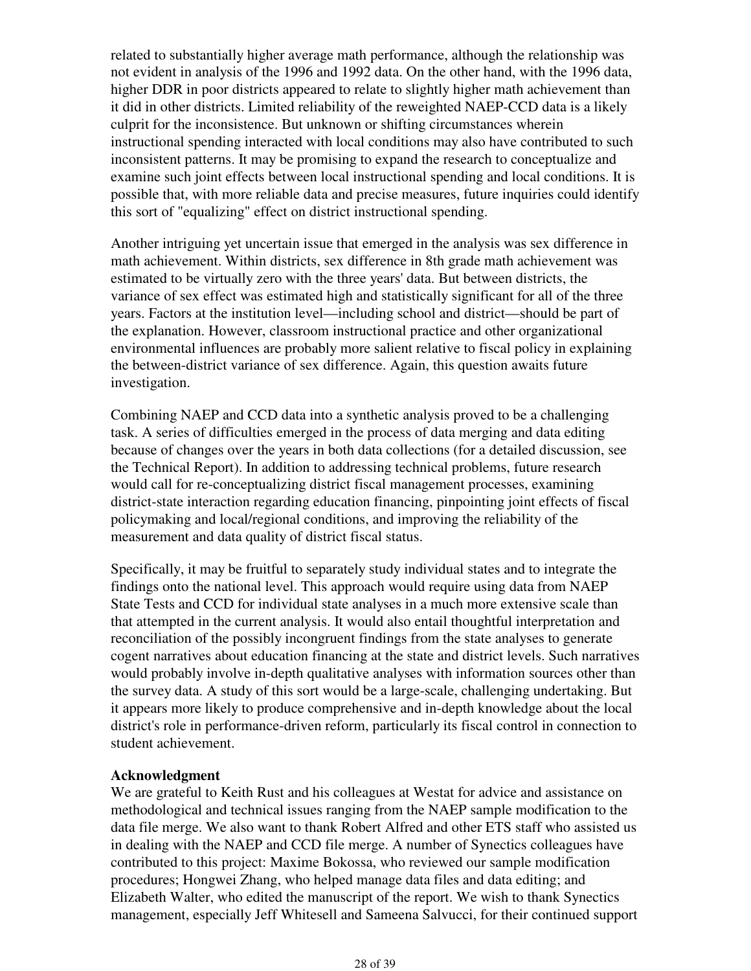related to substantially higher average math performance, although the relationship was not evident in analysis of the 1996 and 1992 data. On the other hand, with the 1996 data, higher DDR in poor districts appeared to relate to slightly higher math achievement than it did in other districts. Limited reliability of the reweighted NAEP-CCD data is a likely culprit for the inconsistence. But unknown or shifting circumstances wherein instructional spending interacted with local conditions may also have contributed to such inconsistent patterns. It may be promising to expand the research to conceptualize and examine such joint effects between local instructional spending and local conditions. It is possible that, with more reliable data and precise measures, future inquiries could identify this sort of "equalizing" effect on district instructional spending.

Another intriguing yet uncertain issue that emerged in the analysis was sex difference in math achievement. Within districts, sex difference in 8th grade math achievement was estimated to be virtually zero with the three years' data. But between districts, the variance of sex effect was estimated high and statistically significant for all of the three years. Factors at the institution level—including school and district—should be part of the explanation. However, classroom instructional practice and other organizational environmental influences are probably more salient relative to fiscal policy in explaining the between-district variance of sex difference. Again, this question awaits future investigation.

Combining NAEP and CCD data into a synthetic analysis proved to be a challenging task. A series of difficulties emerged in the process of data merging and data editing because of changes over the years in both data collections (for a detailed discussion, see the Technical Report). In addition to addressing technical problems, future research would call for re-conceptualizing district fiscal management processes, examining district-state interaction regarding education financing, pinpointing joint effects of fiscal policymaking and local/regional conditions, and improving the reliability of the measurement and data quality of district fiscal status.

Specifically, it may be fruitful to separately study individual states and to integrate the findings onto the national level. This approach would require using data from NAEP State Tests and CCD for individual state analyses in a much more extensive scale than that attempted in the current analysis. It would also entail thoughtful interpretation and reconciliation of the possibly incongruent findings from the state analyses to generate cogent narratives about education financing at the state and district levels. Such narratives would probably involve in-depth qualitative analyses with information sources other than the survey data. A study of this sort would be a large-scale, challenging undertaking. But it appears more likely to produce comprehensive and in-depth knowledge about the local district's role in performance-driven reform, particularly its fiscal control in connection to student achievement.

#### **Acknowledgment**

We are grateful to Keith Rust and his colleagues at Westat for advice and assistance on methodological and technical issues ranging from the NAEP sample modification to the data file merge. We also want to thank Robert Alfred and other ETS staff who assisted us in dealing with the NAEP and CCD file merge. A number of Synectics colleagues have contributed to this project: Maxime Bokossa, who reviewed our sample modification procedures; Hongwei Zhang, who helped manage data files and data editing; and Elizabeth Walter, who edited the manuscript of the report. We wish to thank Synectics management, especially Jeff Whitesell and Sameena Salvucci, for their continued support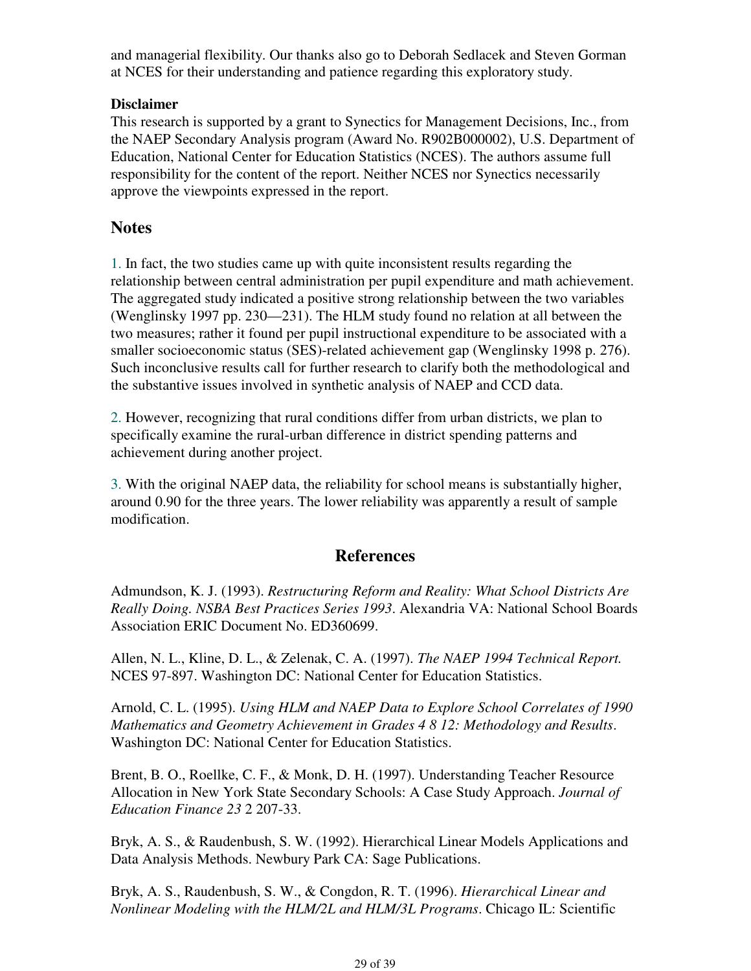and managerial flexibility. Our thanks also go to Deborah Sedlacek and Steven Gorman at NCES for their understanding and patience regarding this exploratory study.

#### **Disclaimer**

This research is supported by a grant to Synectics for Management Decisions, Inc., from the NAEP Secondary Analysis program (Award No. R902B000002), U.S. Department of Education, National Center for Education Statistics (NCES). The authors assume full responsibility for the content of the report. Neither NCES nor Synectics necessarily approve the viewpoints expressed in the report.

### **Notes**

1. In fact, the two studies came up with quite inconsistent results regarding the relationship between central administration per pupil expenditure and math achievement. The aggregated study indicated a positive strong relationship between the two variables (Wenglinsky 1997 pp. 230—231). The HLM study found no relation at all between the two measures; rather it found per pupil instructional expenditure to be associated with a smaller socioeconomic status (SES)-related achievement gap (Wenglinsky 1998 p. 276). Such inconclusive results call for further research to clarify both the methodological and the substantive issues involved in synthetic analysis of NAEP and CCD data.

2. However, recognizing that rural conditions differ from urban districts, we plan to specifically examine the rural-urban difference in district spending patterns and achievement during another project.

3. With the original NAEP data, the reliability for school means is substantially higher, around 0.90 for the three years. The lower reliability was apparently a result of sample modification.

### **References**

Admundson, K. J. (1993). *Restructuring Reform and Reality: What School Districts Are Really Doing. NSBA Best Practices Series 1993*. Alexandria VA: National School Boards Association ERIC Document No. ED360699.

Allen, N. L., Kline, D. L., & Zelenak, C. A. (1997). *The NAEP 1994 Technical Report.* NCES 97-897. Washington DC: National Center for Education Statistics.

Arnold, C. L. (1995). *Using HLM and NAEP Data to Explore School Correlates of 1990 Mathematics and Geometry Achievement in Grades 4 8 12: Methodology and Results*. Washington DC: National Center for Education Statistics.

Brent, B. O., Roellke, C. F., & Monk, D. H. (1997). Understanding Teacher Resource Allocation in New York State Secondary Schools: A Case Study Approach. *Journal of Education Finance 23* 2 207-33.

Bryk, A. S., & Raudenbush, S. W. (1992). Hierarchical Linear Models Applications and Data Analysis Methods. Newbury Park CA: Sage Publications.

Bryk, A. S., Raudenbush, S. W., & Congdon, R. T. (1996). *Hierarchical Linear and Nonlinear Modeling with the HLM/2L and HLM/3L Programs*. Chicago IL: Scientific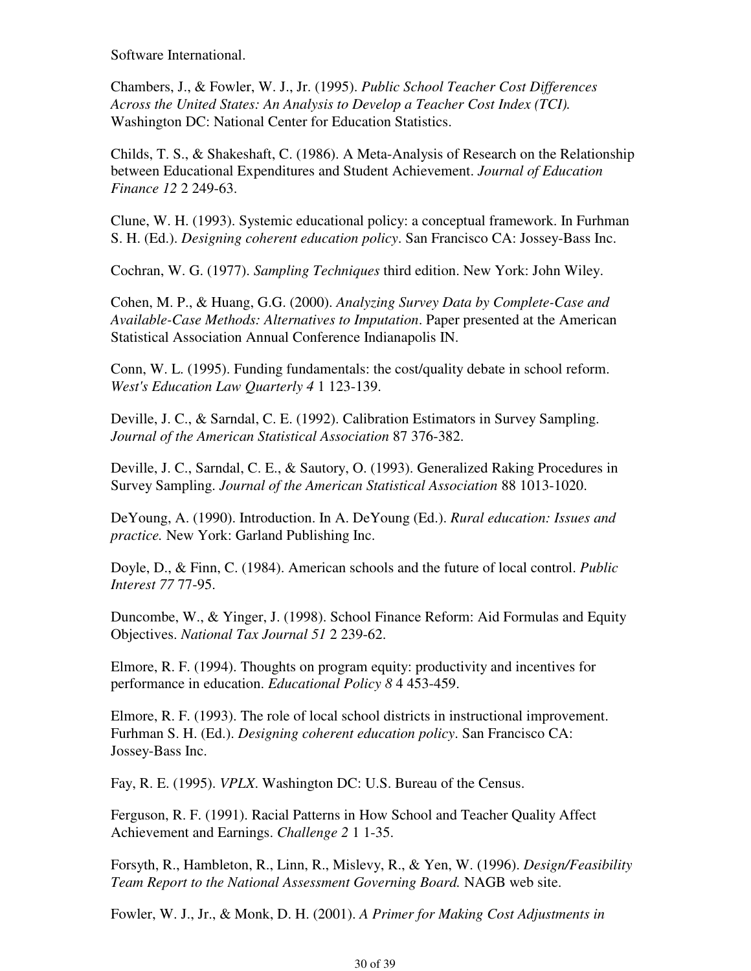Software International.

Chambers, J., & Fowler, W. J., Jr. (1995). *Public School Teacher Cost Differences Across the United States: An Analysis to Develop a Teacher Cost Index (TCI).* Washington DC: National Center for Education Statistics.

Childs, T. S., & Shakeshaft, C. (1986). A Meta-Analysis of Research on the Relationship between Educational Expenditures and Student Achievement. *Journal of Education Finance 12* 2 249-63.

Clune, W. H. (1993). Systemic educational policy: a conceptual framework. In Furhman S. H. (Ed.). *Designing coherent education policy*. San Francisco CA: Jossey-Bass Inc.

Cochran, W. G. (1977). *Sampling Techniques* third edition. New York: John Wiley.

Cohen, M. P., & Huang, G.G. (2000). *Analyzing Survey Data by Complete-Case and Available-Case Methods: Alternatives to Imputation*. Paper presented at the American Statistical Association Annual Conference Indianapolis IN.

Conn, W. L. (1995). Funding fundamentals: the cost/quality debate in school reform. *West's Education Law Quarterly 4* 1 123-139.

Deville, J. C., & Sarndal, C. E. (1992). Calibration Estimators in Survey Sampling. *Journal of the American Statistical Association* 87 376-382.

Deville, J. C., Sarndal, C. E., & Sautory, O. (1993). Generalized Raking Procedures in Survey Sampling. *Journal of the American Statistical Association* 88 1013-1020.

DeYoung, A. (1990). Introduction. In A. DeYoung (Ed.). *Rural education: Issues and practice.* New York: Garland Publishing Inc.

Doyle, D., & Finn, C. (1984). American schools and the future of local control. *Public Interest 77* 77-95.

Duncombe, W., & Yinger, J. (1998). School Finance Reform: Aid Formulas and Equity Objectives. *National Tax Journal 51* 2 239-62.

Elmore, R. F. (1994). Thoughts on program equity: productivity and incentives for performance in education. *Educational Policy 8* 4 453-459.

Elmore, R. F. (1993). The role of local school districts in instructional improvement. Furhman S. H. (Ed.). *Designing coherent education policy*. San Francisco CA: Jossey-Bass Inc.

Fay, R. E. (1995). *VPLX*. Washington DC: U.S. Bureau of the Census.

Ferguson, R. F. (1991). Racial Patterns in How School and Teacher Quality Affect Achievement and Earnings. *Challenge 2* 1 1-35.

Forsyth, R., Hambleton, R., Linn, R., Mislevy, R., & Yen, W. (1996). *Design/Feasibility Team Report to the National Assessment Governing Board.* NAGB web site.

Fowler, W. J., Jr., & Monk, D. H. (2001). *A Primer for Making Cost Adjustments in*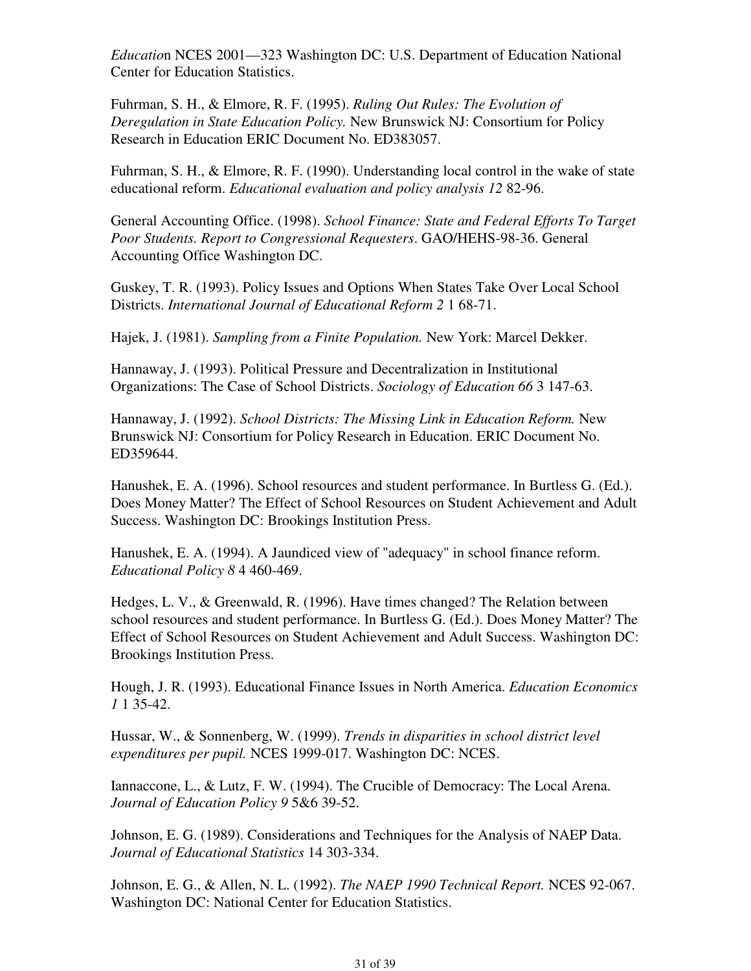*Educatio*n NCES 2001—323 Washington DC: U.S. Department of Education National Center for Education Statistics.

Fuhrman, S. H., & Elmore, R. F. (1995). *Ruling Out Rules: The Evolution of Deregulation in State Education Policy.* New Brunswick NJ: Consortium for Policy Research in Education ERIC Document No. ED383057.

Fuhrman, S. H., & Elmore, R. F. (1990). Understanding local control in the wake of state educational reform. *Educational evaluation and policy analysis 12* 82-96.

General Accounting Office. (1998). *School Finance: State and Federal Efforts To Target Poor Students. Report to Congressional Requesters*. GAO/HEHS-98-36. General Accounting Office Washington DC.

Guskey, T. R. (1993). Policy Issues and Options When States Take Over Local School Districts. *International Journal of Educational Reform 2* 1 68-71.

Hajek, J. (1981). *Sampling from a Finite Population.* New York: Marcel Dekker.

Hannaway, J. (1993). Political Pressure and Decentralization in Institutional Organizations: The Case of School Districts. *Sociology of Education 66* 3 147-63.

Hannaway, J. (1992). *School Districts: The Missing Link in Education Reform.* New Brunswick NJ: Consortium for Policy Research in Education. ERIC Document No. ED359644.

Hanushek, E. A. (1996). School resources and student performance. In Burtless G. (Ed.). Does Money Matter? The Effect of School Resources on Student Achievement and Adult Success. Washington DC: Brookings Institution Press.

Hanushek, E. A. (1994). A Jaundiced view of "adequacy" in school finance reform. *Educational Policy 8* 4 460-469.

Hedges, L. V., & Greenwald, R. (1996). Have times changed? The Relation between school resources and student performance. In Burtless G. (Ed.). Does Money Matter? The Effect of School Resources on Student Achievement and Adult Success. Washington DC: Brookings Institution Press.

Hough, J. R. (1993). Educational Finance Issues in North America. *Education Economics 1* 1 35-42.

Hussar, W., & Sonnenberg, W. (1999). *Trends in disparities in school district level expenditures per pupil.* NCES 1999-017. Washington DC: NCES.

Iannaccone, L., & Lutz, F. W. (1994). The Crucible of Democracy: The Local Arena. *Journal of Education Policy 9* 5&6 39-52.

Johnson, E. G. (1989). Considerations and Techniques for the Analysis of NAEP Data. *Journal of Educational Statistics* 14 303-334.

Johnson, E. G., & Allen, N. L. (1992). *The NAEP 1990 Technical Report.* NCES 92-067. Washington DC: National Center for Education Statistics.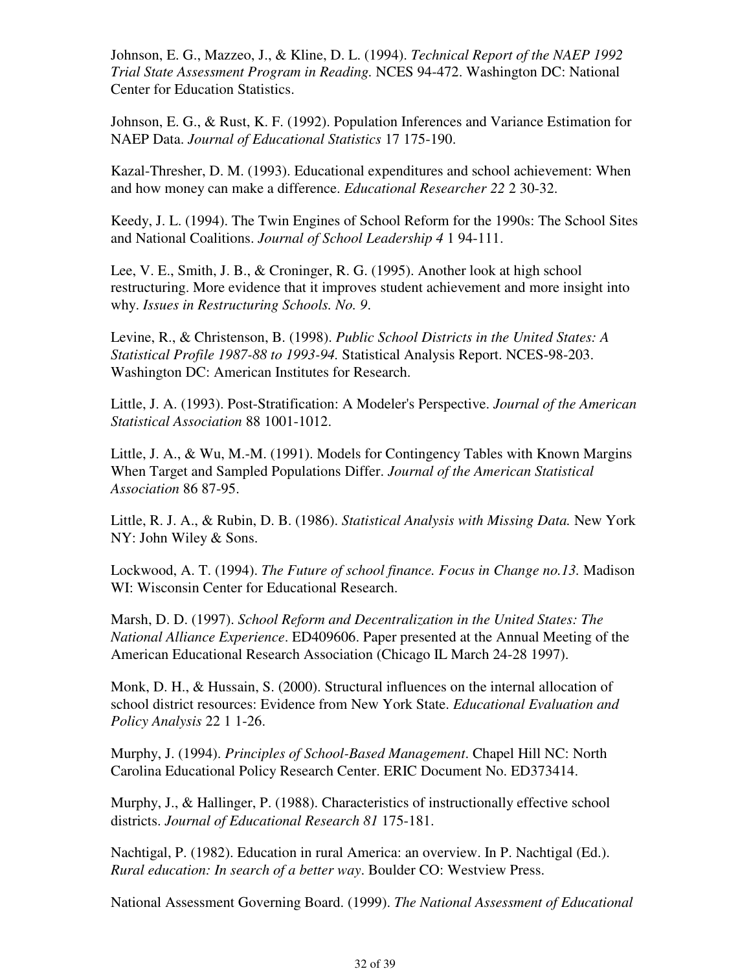Johnson, E. G., Mazzeo, J., & Kline, D. L. (1994). *Technical Report of the NAEP 1992 Trial State Assessment Program in Reading.* NCES 94-472. Washington DC: National Center for Education Statistics.

Johnson, E. G., & Rust, K. F. (1992). Population Inferences and Variance Estimation for NAEP Data. *Journal of Educational Statistics* 17 175-190.

Kazal-Thresher, D. M. (1993). Educational expenditures and school achievement: When and how money can make a difference. *Educational Researcher 22* 2 30-32.

Keedy, J. L. (1994). The Twin Engines of School Reform for the 1990s: The School Sites and National Coalitions. *Journal of School Leadership 4* 1 94-111.

Lee, V. E., Smith, J. B., & Croninger, R. G. (1995). Another look at high school restructuring. More evidence that it improves student achievement and more insight into why. *Issues in Restructuring Schools. No. 9*.

Levine, R., & Christenson, B. (1998). *Public School Districts in the United States: A Statistical Profile 1987-88 to 1993-94.* Statistical Analysis Report. NCES-98-203. Washington DC: American Institutes for Research.

Little, J. A. (1993). Post-Stratification: A Modeler's Perspective. *Journal of the American Statistical Association* 88 1001-1012.

Little, J. A., & Wu, M.-M. (1991). Models for Contingency Tables with Known Margins When Target and Sampled Populations Differ. *Journal of the American Statistical Association* 86 87-95.

Little, R. J. A., & Rubin, D. B. (1986). *Statistical Analysis with Missing Data.* New York NY: John Wiley & Sons.

Lockwood, A. T. (1994). *The Future of school finance. Focus in Change no.13.* Madison WI: Wisconsin Center for Educational Research.

Marsh, D. D. (1997). *School Reform and Decentralization in the United States: The National Alliance Experience*. ED409606. Paper presented at the Annual Meeting of the American Educational Research Association (Chicago IL March 24-28 1997).

Monk, D. H., & Hussain, S. (2000). Structural influences on the internal allocation of school district resources: Evidence from New York State. *Educational Evaluation and Policy Analysis* 22 1 1-26.

Murphy, J. (1994). *Principles of School-Based Management*. Chapel Hill NC: North Carolina Educational Policy Research Center. ERIC Document No. ED373414.

Murphy, J., & Hallinger, P. (1988). Characteristics of instructionally effective school districts. *Journal of Educational Research 81* 175-181.

Nachtigal, P. (1982). Education in rural America: an overview. In P. Nachtigal (Ed.). *Rural education: In search of a better way*. Boulder CO: Westview Press.

National Assessment Governing Board. (1999). *The National Assessment of Educational*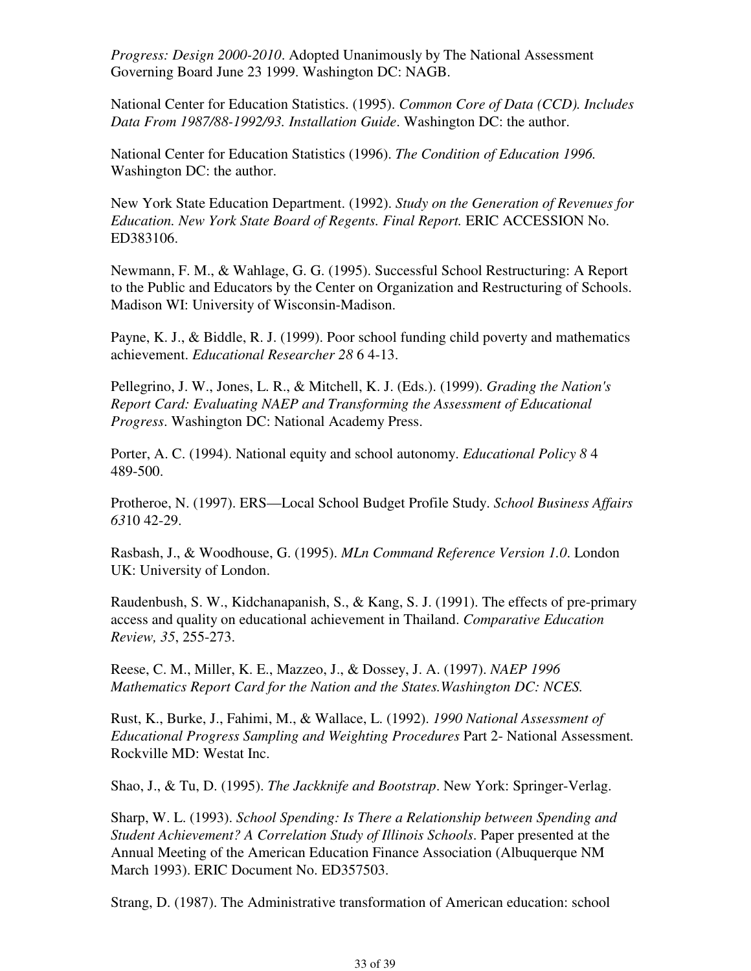*Progress: Design 2000-2010*. Adopted Unanimously by The National Assessment Governing Board June 23 1999. Washington DC: NAGB.

National Center for Education Statistics. (1995). *Common Core of Data (CCD). Includes Data From 1987/88-1992/93. Installation Guide*. Washington DC: the author.

National Center for Education Statistics (1996). *The Condition of Education 1996.* Washington DC: the author.

New York State Education Department. (1992). *Study on the Generation of Revenues for Education. New York State Board of Regents. Final Report.* ERIC ACCESSION No. ED383106.

Newmann, F. M., & Wahlage, G. G. (1995). Successful School Restructuring: A Report to the Public and Educators by the Center on Organization and Restructuring of Schools. Madison WI: University of Wisconsin-Madison.

Payne, K. J., & Biddle, R. J. (1999). Poor school funding child poverty and mathematics achievement. *Educational Researcher 28* 6 4-13.

Pellegrino, J. W., Jones, L. R., & Mitchell, K. J. (Eds.). (1999). *Grading the Nation's Report Card: Evaluating NAEP and Transforming the Assessment of Educational Progress*. Washington DC: National Academy Press.

Porter, A. C. (1994). National equity and school autonomy. *Educational Policy 8* 4 489-500.

Protheroe, N. (1997). ERS—Local School Budget Profile Study. *School Business Affairs 63*10 42-29.

Rasbash, J., & Woodhouse, G. (1995). *MLn Command Reference Version 1.0*. London UK: University of London.

Raudenbush, S. W., Kidchanapanish, S., & Kang, S. J. (1991). The effects of pre-primary access and quality on educational achievement in Thailand. *Comparative Education Review, 35*, 255-273.

Reese, C. M., Miller, K. E., Mazzeo, J., & Dossey, J. A. (1997). *NAEP 1996 Mathematics Report Card for the Nation and the States.Washington DC: NCES.*

Rust, K., Burke, J., Fahimi, M., & Wallace, L. (1992). *1990 National Assessment of Educational Progress Sampling and Weighting Procedures* Part 2- National Assessment*.* Rockville MD: Westat Inc.

Shao, J., & Tu, D. (1995). *The Jackknife and Bootstrap*. New York: Springer-Verlag.

Sharp, W. L. (1993). *School Spending: Is There a Relationship between Spending and Student Achievement? A Correlation Study of Illinois Schools*. Paper presented at the Annual Meeting of the American Education Finance Association (Albuquerque NM March 1993). ERIC Document No. ED357503.

Strang, D. (1987). The Administrative transformation of American education: school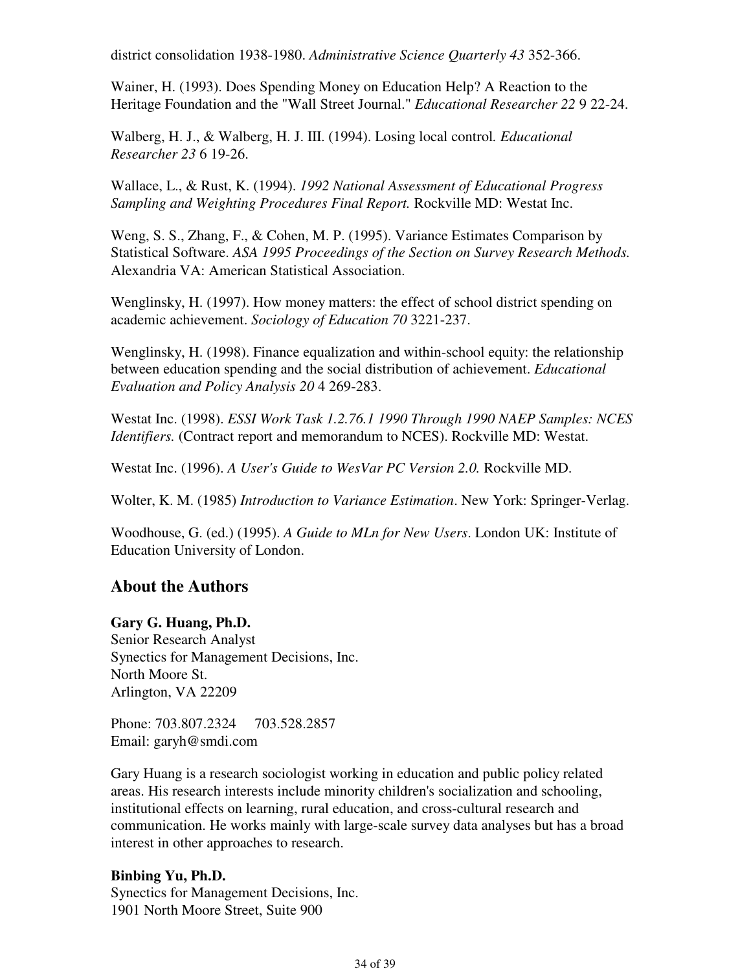district consolidation 1938-1980. *Administrative Science Quarterly 43* 352-366.

Wainer, H. (1993). Does Spending Money on Education Help? A Reaction to the Heritage Foundation and the "Wall Street Journal." *Educational Researcher 22* 9 22-24.

Walberg, H. J., & Walberg, H. J. III. (1994). Losing local control*. Educational Researcher 23* 6 19-26.

Wallace, L., & Rust, K. (1994). *1992 National Assessment of Educational Progress Sampling and Weighting Procedures Final Report.* Rockville MD: Westat Inc.

Weng, S. S., Zhang, F., & Cohen, M. P. (1995). Variance Estimates Comparison by Statistical Software. *ASA 1995 Proceedings of the Section on Survey Research Methods.* Alexandria VA: American Statistical Association.

Wenglinsky, H. (1997). How money matters: the effect of school district spending on academic achievement. *Sociology of Education 70* 3221-237.

Wenglinsky, H. (1998). Finance equalization and within-school equity: the relationship between education spending and the social distribution of achievement. *Educational Evaluation and Policy Analysis 20* 4 269-283.

Westat Inc. (1998). *ESSI Work Task 1.2.76.1 1990 Through 1990 NAEP Samples: NCES Identifiers.* (Contract report and memorandum to NCES). Rockville MD: Westat.

Westat Inc. (1996). *A User's Guide to WesVar PC Version 2.0.* Rockville MD.

Wolter, K. M. (1985) *Introduction to Variance Estimation*. New York: Springer-Verlag.

Woodhouse, G. (ed.) (1995). *A Guide to MLn for New Users*. London UK: Institute of Education University of London.

### **About the Authors**

#### **Gary G. Huang, Ph.D.**

Senior Research Analyst Synectics for Management Decisions, Inc. North Moore St. Arlington, VA 22209

Phone: 703.807.2324 703.528.2857 Email: garyh@smdi.com

Gary Huang is a research sociologist working in education and public policy related areas. His research interests include minority children's socialization and schooling, institutional effects on learning, rural education, and cross-cultural research and communication. He works mainly with large-scale survey data analyses but has a broad interest in other approaches to research.

#### **Binbing Yu, Ph.D.**

Synectics for Management Decisions, Inc. 1901 North Moore Street, Suite 900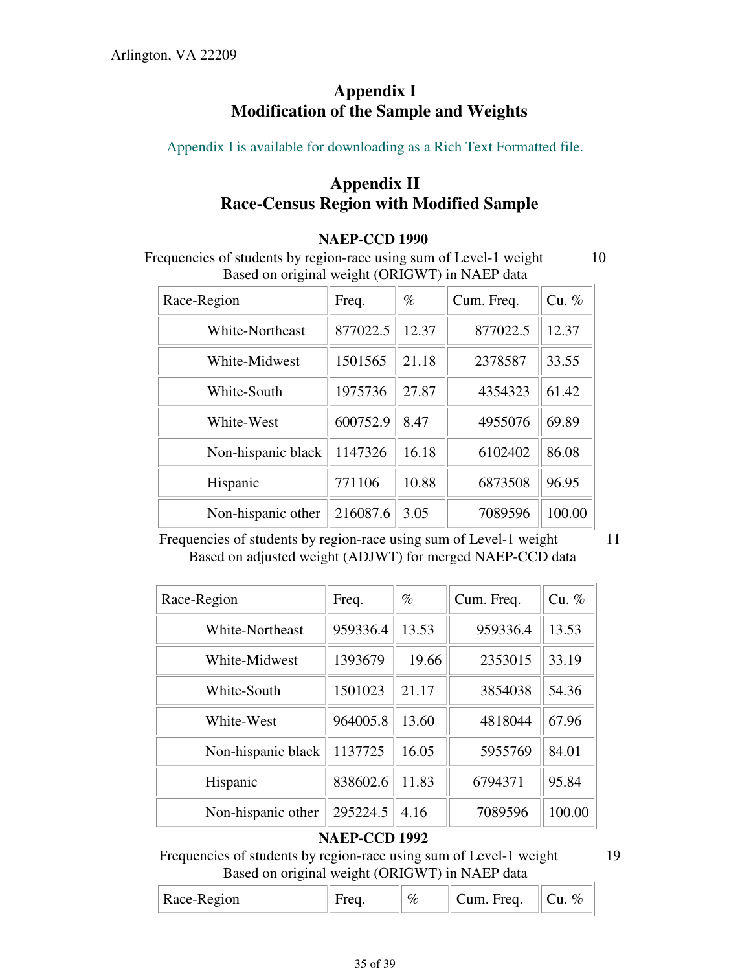## **Appendix I Modification of the Sample and Weights**

Appendix I is available for downloading as a Rich Text Formatted file.

## **Appendix II Race-Census Region with Modified Sample**

#### **NAEP-CCD 1990**

Frequencies of students by region-race using sum of Level-1 weight 10 Based on original weight (ORIGWT) in NAEP data

| Race-Region        | Freq.    | $\%$  | Cum. Freq. | $Cu. \%$ |
|--------------------|----------|-------|------------|----------|
| White-Northeast    | 877022.5 | 12.37 | 877022.5   | 12.37    |
| White-Midwest      | 1501565  | 21.18 | 2378587    | 33.55    |
| White-South        | 1975736  | 27.87 | 4354323    | 61.42    |
| White-West         | 600752.9 | 8.47  | 4955076    | 69.89    |
| Non-hispanic black | 1147326  | 16.18 | 6102402    | 86.08    |
| Hispanic           | 771106   | 10.88 | 6873508    | 96.95    |
| Non-hispanic other | 216087.6 | 3.05  | 7089596    | 100.00   |

Frequencies of students by region-race using sum of Level-1 weight 11 Based on adjusted weight (ADJWT) for merged NAEP-CCD data

| Race-Region        | Freq.    | $\%$  | Cum. Freq. | $Cu.$ % |
|--------------------|----------|-------|------------|---------|
| White-Northeast    | 959336.4 | 13.53 | 959336.4   | 13.53   |
| White-Midwest      | 1393679  | 19.66 | 2353015    | 33.19   |
| White-South        | 1501023  | 21.17 | 3854038    | 54.36   |
| White-West         | 964005.8 | 13.60 | 4818044    | 67.96   |
| Non-hispanic black | 1137725  | 16.05 | 5955769    | 84.01   |
| Hispanic           | 838602.6 | 11.83 | 6794371    | 95.84   |
| Non-hispanic other | 295224.5 | 4.16  | 7089596    | 100.00  |

#### **NAEP-CCD 1992**

Frequencies of students by region-race using sum of Level-1 weight 19 Based on original weight (ORIGWT) in NAEP data

| Race-Region |  | $\%$ | Freq.<br>`um | % |
|-------------|--|------|--------------|---|
|-------------|--|------|--------------|---|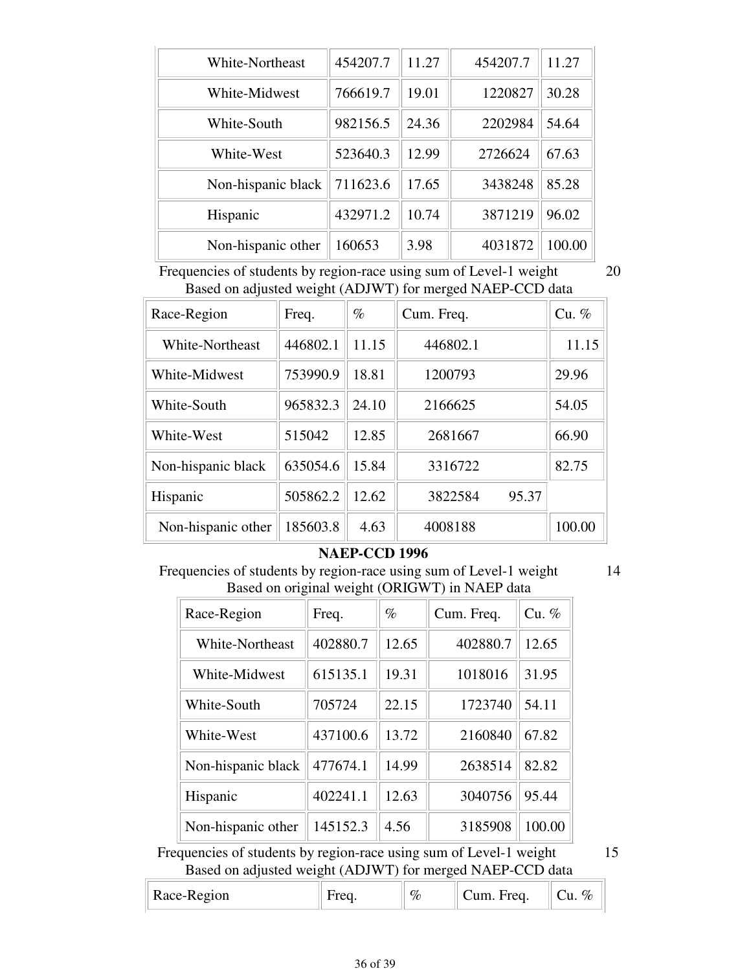| White-Northeast    | 454207.7 | 11.27 | 454207.7 | 11.27  |
|--------------------|----------|-------|----------|--------|
| White-Midwest      | 766619.7 | 19.01 | 1220827  | 30.28  |
| White-South        | 982156.5 | 24.36 | 2202984  | 54.64  |
| White-West         | 523640.3 | 12.99 | 2726624  | 67.63  |
| Non-hispanic black | 711623.6 | 17.65 | 3438248  | 85.28  |
| Hispanic           | 432971.2 | 10.74 | 3871219  | 96.02  |
| Non-hispanic other | 160653   | 3.98  | 4031872  | 100.00 |

Frequencies of students by region-race using sum of Level-1 weight 20 Based on adjusted weight (ADJWT) for merged NAEP-CCD data

| Race-Region        | Freq.    | $\%$  | Cum. Freq. |       | $Cu.$ % |
|--------------------|----------|-------|------------|-------|---------|
| White-Northeast    | 446802.1 | 11.15 | 446802.1   |       | 11.15   |
| White-Midwest      | 753990.9 | 18.81 | 1200793    |       | 29.96   |
| White-South        | 965832.3 | 24.10 | 2166625    |       | 54.05   |
| White-West         | 515042   | 12.85 | 2681667    |       | 66.90   |
| Non-hispanic black | 635054.6 | 15.84 | 3316722    |       | 82.75   |
| Hispanic           | 505862.2 | 12.62 | 3822584    | 95.37 |         |
| Non-hispanic other | 185603.8 | 4.63  | 4008188    |       | 100.00  |

#### **NAEP-CCD 1996**

Frequencies of students by region-race using sum of Level-1 weight Based on original weight (ORIGWT) in NAEP data

| Race-Region        | Freq.    | $\%$  | Cum. Freq. | Cu. %  |
|--------------------|----------|-------|------------|--------|
| White-Northeast    | 402880.7 | 12.65 | 402880.7   | 12.65  |
| White-Midwest      | 615135.1 | 19.31 | 1018016    | 31.95  |
| White-South        | 705724   | 22.15 | 1723740    | 54.11  |
| White-West         | 437100.6 | 13.72 | 2160840    | 67.82  |
| Non-hispanic black | 477674.1 | 14.99 | 2638514    | 82.82  |
| Hispanic           | 402241.1 | 12.63 | 3040756    | 95.44  |
| Non-hispanic other | 145152.3 | 4.56  | 3185908    | 100.00 |

Frequencies of students by region-race using sum of Level-1 weight 15 Based on adjusted weight (ADJWT) for merged NAEP-CCD data

Race-Region  $\|\text{Freq.}\|\%$   $\|\text{Cum. Fred.}\|$  Cu. %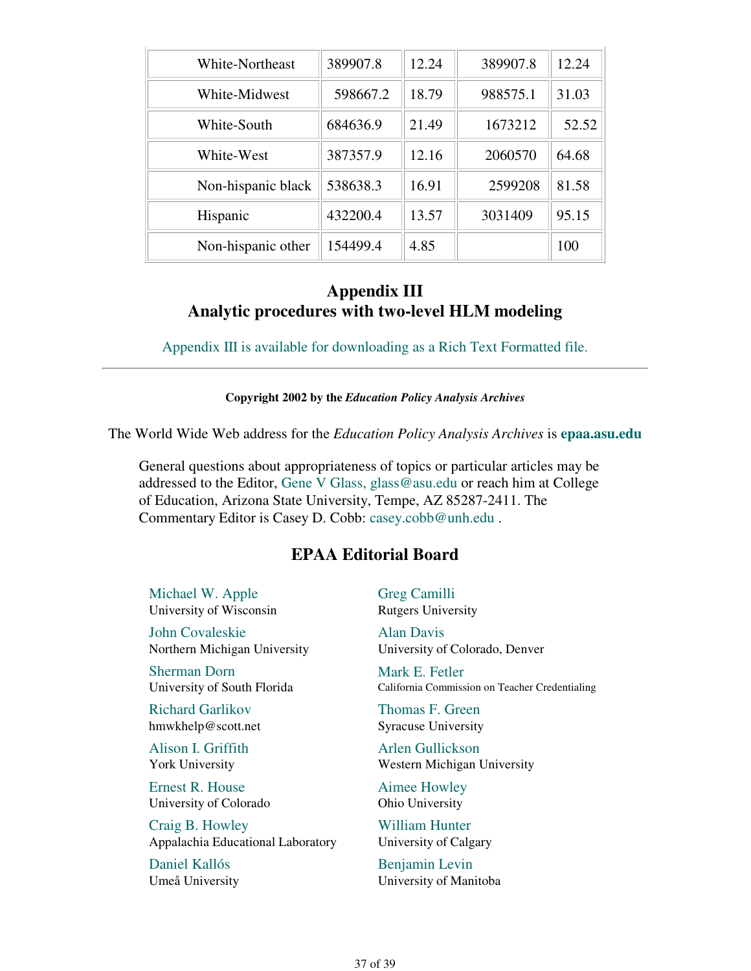| White-Northeast    | 389907.8 | 12.24 | 389907.8 | 12.24 |
|--------------------|----------|-------|----------|-------|
| White-Midwest      | 598667.2 | 18.79 | 988575.1 | 31.03 |
| White-South        | 684636.9 | 21.49 | 1673212  | 52.52 |
| White-West         | 387357.9 | 12.16 | 2060570  | 64.68 |
| Non-hispanic black | 538638.3 | 16.91 | 2599208  | 81.58 |
| Hispanic           | 432200.4 | 13.57 | 3031409  | 95.15 |
| Non-hispanic other | 154499.4 | 4.85  |          | 100   |

### **Appendix III Analytic procedures with two-level HLM modeling**

Appendix III is available for downloading as a Rich Text Formatted file.

#### **Copyright 2002 by the** *Education Policy Analysis Archives*

The World Wide Web address for the *Education Policy Analysis Archives* is **epaa.asu.edu**

General questions about appropriateness of topics or particular articles may be addressed to the Editor, Gene V Glass, glass@asu.edu or reach him at College of Education, Arizona State University, Tempe, AZ 85287-2411. The Commentary Editor is Casey D. Cobb: casey.cobb@unh.edu .

#### **EPAA Editorial Board**

Michael W. Apple University of Wisconsin

John Covaleskie Northern Michigan University

Sherman Dorn University of South Florida

Richard Garlikov hmwkhelp@scott.net

Alison I. Griffith York University

Ernest R. House University of Colorado

Craig B. Howley Appalachia Educational Laboratory

Daniel Kallós Umeå University Greg Camilli Rutgers University

Alan Davis University of Colorado, Denver

Mark E. Fetler California Commission on Teacher Credentialing

Thomas F. Green Syracuse University

Arlen Gullickson Western Michigan University

Aimee Howley Ohio University

William Hunter University of Calgary

Benjamin Levin University of Manitoba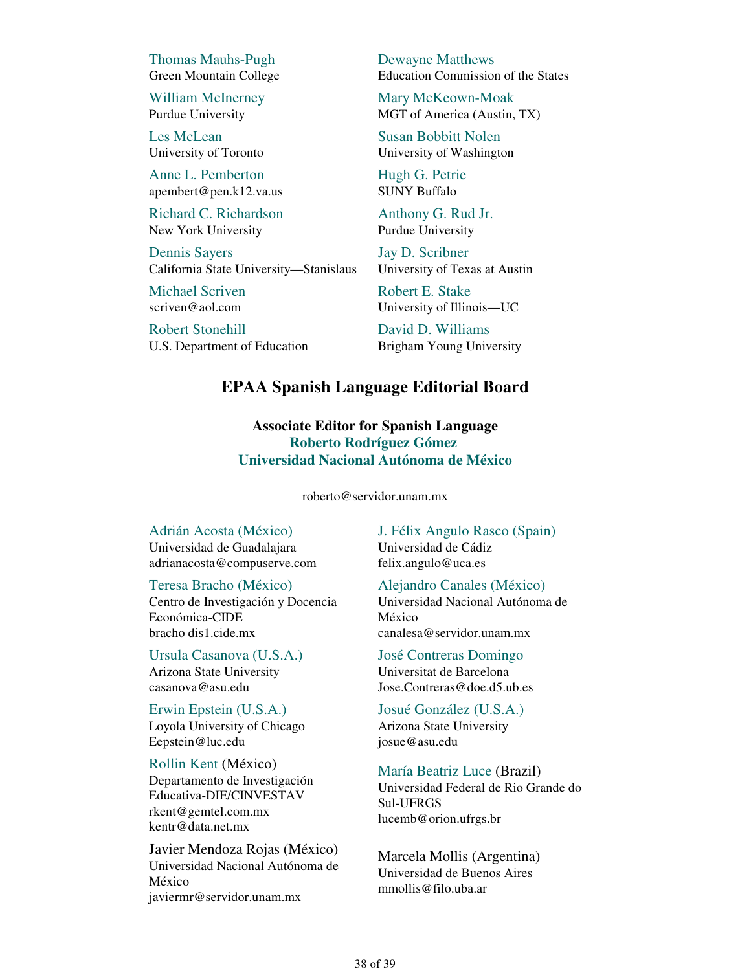Thomas Mauhs-Pugh Green Mountain College

William McInerney Purdue University

Les McLean University of Toronto

Anne L. Pemberton apembert@pen.k12.va.us

Richard C. Richardson New York University

Dennis Sayers California State University—Stanislaus

Michael Scriven scriven@aol.com

Robert Stonehill U.S. Department of Education Dewayne Matthews Education Commission of the States

Mary McKeown-Moak MGT of America (Austin, TX)

Susan Bobbitt Nolen University of Washington

Hugh G. Petrie SUNY Buffalo

Anthony G. Rud Jr. Purdue University

Jay D. Scribner University of Texas at Austin

Robert E. Stake University of Illinois—UC

David D. Williams Brigham Young University

### **EPAA Spanish Language Editorial Board**

#### **Associate Editor for Spanish Language Roberto Rodríguez Gómez Universidad Nacional Autónoma de México**

roberto@servidor.unam.mx

#### Adrián Acosta (México)

Universidad de Guadalajara adrianacosta@compuserve.com

Teresa Bracho (México)

Centro de Investigación y Docencia Económica-CIDE bracho dis1.cide.mx

Ursula Casanova (U.S.A.) Arizona State University casanova@asu.edu

Erwin Epstein (U.S.A.) Loyola University of Chicago Eepstein@luc.edu

Rollin Kent (México)

Departamento de Investigación Educativa-DIE/CINVESTAV rkent@gemtel.com.mx kentr@data.net.mx

Javier Mendoza Rojas (México) Universidad Nacional Autónoma de México javiermr@servidor.unam.mx

J. Félix Angulo Rasco (Spain) Universidad de Cádiz felix.angulo@uca.es

Alejandro Canales (México) Universidad Nacional Autónoma de México canalesa@servidor.unam.mx

José Contreras Domingo Universitat de Barcelona Jose.Contreras@doe.d5.ub.es

Josué González (U.S.A.) Arizona State University josue@asu.edu

María Beatriz Luce (Brazil)

Universidad Federal de Rio Grande do Sul-UFRGS lucemb@orion.ufrgs.br

Marcela Mollis (Argentina) Universidad de Buenos Aires mmollis@filo.uba.ar